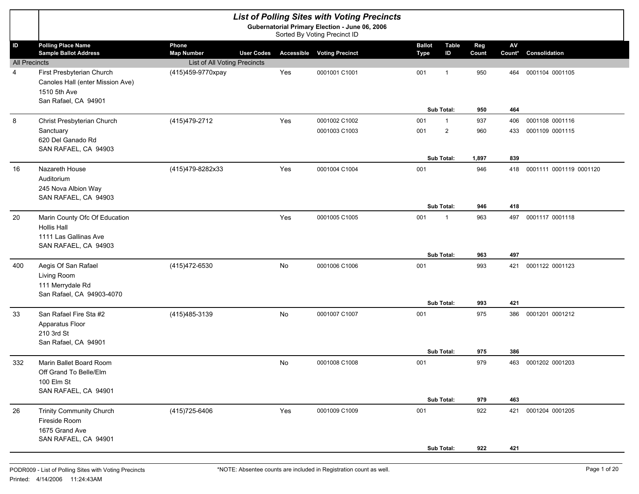|                      |                                                                                                       |                                     |                   |           | <b>List of Polling Sites with Voting Precincts</b>                             |                              |                                       |              |                      |                                    |
|----------------------|-------------------------------------------------------------------------------------------------------|-------------------------------------|-------------------|-----------|--------------------------------------------------------------------------------|------------------------------|---------------------------------------|--------------|----------------------|------------------------------------|
|                      |                                                                                                       |                                     |                   |           | Gubernatorial Primary Election - June 06, 2006<br>Sorted By Voting Precinct ID |                              |                                       |              |                      |                                    |
| ID                   | <b>Polling Place Name</b><br><b>Sample Ballot Address</b>                                             | Phone<br><b>Map Number</b>          | <b>User Codes</b> |           | <b>Accessible Voting Precinct</b>                                              | <b>Ballot</b><br><b>Type</b> | <b>Table</b><br>ID                    | Reg<br>Count | ${\sf AV}$<br>Count* | Consolidation                      |
| <b>All Precincts</b> |                                                                                                       | <b>List of All Voting Precincts</b> |                   |           |                                                                                |                              |                                       |              |                      |                                    |
| 4                    | First Presbyterian Church<br>Canoles Hall (enter Mission Ave)<br>1510 5th Ave<br>San Rafael, CA 94901 | (415)459-9770xpay                   |                   | Yes       | 0001001 C1001                                                                  | 001                          | $\overline{1}$                        | 950          | 464                  | 0001104 0001105                    |
|                      |                                                                                                       |                                     |                   |           |                                                                                |                              | Sub Total:                            | 950          | 464                  |                                    |
| 8                    | Christ Presbyterian Church<br>Sanctuary<br>620 Del Ganado Rd<br>SAN RAFAEL, CA 94903                  | (415) 479-2712                      |                   | Yes       | 0001002 C1002<br>0001003 C1003                                                 | 001<br>001                   | $\mathbf{1}$<br>$\mathbf{2}^{\prime}$ | 937<br>960   | 406<br>433           | 0001108 0001116<br>0001109 0001115 |
|                      |                                                                                                       |                                     |                   |           |                                                                                |                              | Sub Total:                            | 1,897        | 839                  |                                    |
| 16                   | Nazareth House<br>Auditorium<br>245 Nova Albion Way<br>SAN RAFAEL, CA 94903                           | (415)479-8282x33                    |                   | Yes       | 0001004 C1004                                                                  | 001                          |                                       | 946          |                      | 418 0001111 0001119 0001120        |
|                      |                                                                                                       |                                     |                   |           |                                                                                |                              | Sub Total:                            | 946          | 418                  |                                    |
| 20                   | Marin County Ofc Of Education<br>Hollis Hall<br>1111 Las Gallinas Ave<br>SAN RAFAEL, CA 94903         |                                     |                   | Yes       | 0001005 C1005                                                                  | 001                          | $\mathbf{1}$<br>Sub Total:            | 963<br>963   | 497<br>497           | 0001117 0001118                    |
| 400                  | Aegis Of San Rafael<br>Living Room<br>111 Merrydale Rd<br>San Rafael, CA 94903-4070                   | (415) 472-6530                      |                   | <b>No</b> | 0001006 C1006                                                                  | 001                          | <b>Sub Total:</b>                     | 993<br>993   | 421<br>421           | 0001122 0001123                    |
| 33                   | San Rafael Fire Sta #2<br>Apparatus Floor<br>210 3rd St<br>San Rafael, CA 94901                       | (415) 485-3139                      |                   | <b>No</b> | 0001007 C1007                                                                  | 001                          |                                       | 975          | 386                  | 0001201 0001212                    |
|                      |                                                                                                       |                                     |                   |           |                                                                                |                              | <b>Sub Total:</b>                     | 975          | 386                  | 0001202 0001203                    |
| 332                  | Marin Ballet Board Room<br>Off Grand To Belle/Elm<br>100 Elm St<br>SAN RAFAEL, CA 94901               |                                     |                   | <b>No</b> | 0001008 C1008                                                                  | 001                          | Sub Total:                            | 979<br>979   | 463<br>463           |                                    |
| 26                   | <b>Trinity Community Church</b><br>Fireside Room<br>1675 Grand Ave<br>SAN RAFAEL, CA 94901            | (415) 725-6406                      |                   | Yes       | 0001009 C1009                                                                  | 001                          |                                       | 922          |                      | 421 0001204 0001205                |
|                      |                                                                                                       |                                     |                   |           |                                                                                |                              | Sub Total:                            | 922          | 421                  |                                    |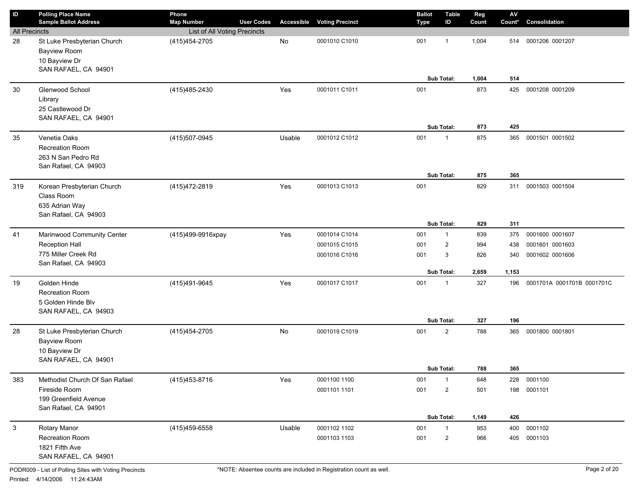| ID                   | <b>Polling Place Name</b>              | Phone                        |                   |        |                                   | <b>Ballot</b> | <b>Table</b>      | Reg   | $\mathsf{A}\mathsf{V}$ |                            |
|----------------------|----------------------------------------|------------------------------|-------------------|--------|-----------------------------------|---------------|-------------------|-------|------------------------|----------------------------|
|                      | <b>Sample Ballot Address</b>           | <b>Map Number</b>            | <b>User Codes</b> |        | <b>Accessible Voting Precinct</b> | Type          | ID                | Count | Count*                 | Consolidation              |
| <b>All Precincts</b> |                                        | List of All Voting Precincts |                   |        |                                   |               |                   |       |                        |                            |
| 28                   | St Luke Presbyterian Church            | (415) 454-2705               |                   | No     | 0001010 C1010                     | 001           | $\mathbf 1$       | 1,004 | 514                    | 0001206 0001207            |
|                      | <b>Bayview Room</b>                    |                              |                   |        |                                   |               |                   |       |                        |                            |
|                      | 10 Bayview Dr<br>SAN RAFAEL, CA 94901  |                              |                   |        |                                   |               |                   |       |                        |                            |
|                      |                                        |                              |                   |        |                                   |               | Sub Total:        | 1,004 | 514                    |                            |
| 30                   | Glenwood School                        | (415) 485-2430               |                   | Yes    | 0001011 C1011                     | 001           |                   | 873   | 425                    | 0001208 0001209            |
|                      | Library                                |                              |                   |        |                                   |               |                   |       |                        |                            |
|                      | 25 Castlewood Dr                       |                              |                   |        |                                   |               |                   |       |                        |                            |
|                      | SAN RAFAEL, CA 94901                   |                              |                   |        |                                   |               |                   |       |                        |                            |
|                      |                                        |                              |                   |        |                                   |               | Sub Total:        | 873   | 425                    |                            |
| 35                   | Venetia Oaks                           | (415)507-0945                |                   | Usable | 0001012 C1012                     | 001           | $\mathbf{1}$      | 875   | 365                    | 0001501 0001502            |
|                      | <b>Recreation Room</b>                 |                              |                   |        |                                   |               |                   |       |                        |                            |
|                      | 263 N San Pedro Rd                     |                              |                   |        |                                   |               |                   |       |                        |                            |
|                      | San Rafael, CA 94903                   |                              |                   |        |                                   |               |                   |       |                        |                            |
|                      |                                        |                              |                   |        |                                   |               | Sub Total:        | 875   | 365                    |                            |
| 319                  | Korean Presbyterian Church             | (415) 472-2819               |                   | Yes    | 0001013 C1013                     | 001           |                   | 829   | 311                    | 0001503 0001504            |
|                      | Class Room                             |                              |                   |        |                                   |               |                   |       |                        |                            |
|                      | 635 Adrian Way<br>San Rafael, CA 94903 |                              |                   |        |                                   |               |                   |       |                        |                            |
|                      |                                        |                              |                   |        |                                   |               | Sub Total:        | 829   | 311                    |                            |
| 41                   | Marinwood Community Center             | (415)499-9916xpay            |                   | Yes    | 0001014 C1014                     | 001           | $\mathbf{1}$      | 839   | 375                    | 0001600 0001607            |
|                      | Reception Hall                         |                              |                   |        | 0001015 C1015                     | 001           | $\overline{2}$    | 994   | 438                    | 0001601 0001603            |
|                      | 775 Miller Creek Rd                    |                              |                   |        | 0001016 C1016                     | 001           | 3                 | 826   | 340                    | 0001602 0001606            |
|                      | San Rafael, CA 94903                   |                              |                   |        |                                   |               |                   |       |                        |                            |
|                      |                                        |                              |                   |        |                                   |               | <b>Sub Total:</b> | 2,659 | 1,153                  |                            |
| 19                   | Golden Hinde                           | (415)491-9645                |                   | Yes    | 0001017 C1017                     | 001           | $\mathbf{1}$      | 327   | 196                    | 0001701A 0001701B 0001701C |
|                      | <b>Recreation Room</b>                 |                              |                   |        |                                   |               |                   |       |                        |                            |
|                      | 5 Golden Hinde Blv                     |                              |                   |        |                                   |               |                   |       |                        |                            |
|                      | SAN RAFAEL, CA 94903                   |                              |                   |        |                                   |               |                   |       |                        |                            |
|                      |                                        |                              |                   |        |                                   |               | Sub Total:        | 327   | 196                    |                            |
| 28                   | St Luke Presbyterian Church            | (415) 454-2705               |                   | No     | 0001019 C1019                     | 001           | $\overline{2}$    | 788   | 365                    | 0001800 0001801            |
|                      | <b>Bayview Room</b>                    |                              |                   |        |                                   |               |                   |       |                        |                            |
|                      | 10 Bayview Dr<br>SAN RAFAEL, CA 94901  |                              |                   |        |                                   |               |                   |       |                        |                            |
|                      |                                        |                              |                   |        |                                   |               | Sub Total:        | 788   | 365                    |                            |
| 383                  | Methodist Church Of San Rafael         | (415) 453-8716               |                   | Yes    | 0001100 1100                      | 001           | $\mathbf{1}$      | 648   | 228                    | 0001100                    |
|                      | Fireside Room                          |                              |                   |        | 0001101 1101                      | 001           | $\overline{2}$    | 501   | 198                    | 0001101                    |
|                      | 199 Greenfield Avenue                  |                              |                   |        |                                   |               |                   |       |                        |                            |
|                      | San Rafael, CA 94901                   |                              |                   |        |                                   |               |                   |       |                        |                            |
|                      |                                        |                              |                   |        |                                   |               | Sub Total:        | 1,149 | 426                    |                            |
| 3                    | Rotary Manor                           | (415)459-6558                |                   | Usable | 0001102 1102                      | 001           | $\mathbf{1}$      | 953   | 400                    | 0001102                    |
|                      | Recreation Room                        |                              |                   |        | 0001103 1103                      | 001           | $\overline{c}$    | 966   | 405                    | 0001103                    |
|                      | 1821 Fifth Ave                         |                              |                   |        |                                   |               |                   |       |                        |                            |
|                      | SAN RAFAEL, CA 94901                   |                              |                   |        |                                   |               |                   |       |                        |                            |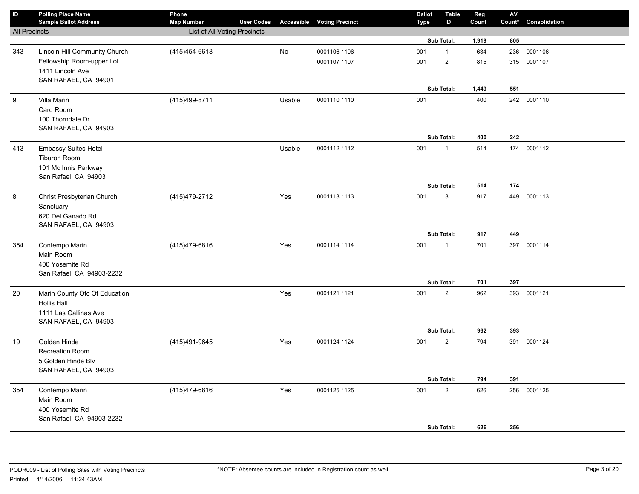| $\sf ID$             | <b>Polling Place Name</b><br><b>Sample Ballot Address</b> | Phone<br><b>Map Number</b>   | <b>User Codes</b> |        | <b>Accessible Voting Precinct</b> | <b>Ballot</b><br><b>Type</b> | <b>Table</b><br>ID | Reg<br>Count | ${\sf AV}$<br>Count* | Consolidation |
|----------------------|-----------------------------------------------------------|------------------------------|-------------------|--------|-----------------------------------|------------------------------|--------------------|--------------|----------------------|---------------|
| <b>All Precincts</b> |                                                           | List of All Voting Precincts |                   |        |                                   |                              |                    |              |                      |               |
|                      |                                                           |                              |                   |        |                                   |                              | Sub Total:         | 1,919        | 805                  |               |
| 343                  | Lincoln Hill Community Church                             | (415) 454-6618               |                   | No     | 0001106 1106                      | 001                          | $\mathbf{1}$       | 634          | 236                  | 0001106       |
|                      | Fellowship Room-upper Lot                                 |                              |                   |        | 0001107 1107                      | 001                          | $\sqrt{2}$         | 815          |                      | 315 0001107   |
|                      | 1411 Lincoln Ave                                          |                              |                   |        |                                   |                              |                    |              |                      |               |
|                      | SAN RAFAEL, CA 94901                                      |                              |                   |        |                                   |                              |                    |              |                      |               |
|                      |                                                           |                              |                   |        |                                   |                              | Sub Total:         | 1,449        | 551                  |               |
| $\boldsymbol{9}$     | Villa Marin                                               | (415)499-8711                |                   | Usable | 0001110 1110                      | 001                          |                    | 400          |                      | 242 0001110   |
|                      | Card Room                                                 |                              |                   |        |                                   |                              |                    |              |                      |               |
|                      | 100 Thorndale Dr                                          |                              |                   |        |                                   |                              |                    |              |                      |               |
|                      | SAN RAFAEL, CA 94903                                      |                              |                   |        |                                   |                              | Sub Total:         |              | 242                  |               |
|                      |                                                           |                              |                   |        |                                   |                              |                    | 400          |                      |               |
| 413                  | Embassy Suites Hotel                                      |                              |                   | Usable | 0001112 1112                      | 001                          | $\mathbf{1}$       | 514          | 174                  | 0001112       |
|                      | Tiburon Room                                              |                              |                   |        |                                   |                              |                    |              |                      |               |
|                      | 101 Mc Innis Parkway<br>San Rafael, CA 94903              |                              |                   |        |                                   |                              |                    |              |                      |               |
|                      |                                                           |                              |                   |        |                                   |                              | Sub Total:         | 514          | 174                  |               |
| 8                    | Christ Presbyterian Church                                | (415) 479-2712               |                   | Yes    | 0001113 1113                      | 001                          | 3                  | 917          |                      | 449 0001113   |
|                      | Sanctuary                                                 |                              |                   |        |                                   |                              |                    |              |                      |               |
|                      | 620 Del Ganado Rd                                         |                              |                   |        |                                   |                              |                    |              |                      |               |
|                      | SAN RAFAEL, CA 94903                                      |                              |                   |        |                                   |                              |                    |              |                      |               |
|                      |                                                           |                              |                   |        |                                   |                              | Sub Total:         | 917          | 449                  |               |
| 354                  | Contempo Marin                                            | (415)479-6816                |                   | Yes    | 0001114 1114                      | 001                          | $\mathbf{1}$       | 701          |                      | 397 0001114   |
|                      | Main Room                                                 |                              |                   |        |                                   |                              |                    |              |                      |               |
|                      | 400 Yosemite Rd                                           |                              |                   |        |                                   |                              |                    |              |                      |               |
|                      | San Rafael, CA 94903-2232                                 |                              |                   |        |                                   |                              |                    |              |                      |               |
|                      |                                                           |                              |                   |        |                                   |                              | Sub Total:         | 701          | 397                  |               |
| 20                   | Marin County Ofc Of Education                             |                              |                   | Yes    | 0001121 1121                      | 001                          | $\sqrt{2}$         | 962          | 393                  | 0001121       |
|                      | <b>Hollis Hall</b>                                        |                              |                   |        |                                   |                              |                    |              |                      |               |
|                      | 1111 Las Gallinas Ave                                     |                              |                   |        |                                   |                              |                    |              |                      |               |
|                      | SAN RAFAEL, CA 94903                                      |                              |                   |        |                                   |                              |                    | 962          | 393                  |               |
|                      |                                                           |                              |                   |        |                                   |                              | Sub Total:         |              |                      |               |
| 19                   | Golden Hinde                                              | (415)491-9645                |                   | Yes    | 0001124 1124                      | 001                          | $\overline{2}$     | 794          |                      | 391 0001124   |
|                      | <b>Recreation Room</b><br>5 Golden Hinde Blv              |                              |                   |        |                                   |                              |                    |              |                      |               |
|                      | SAN RAFAEL, CA 94903                                      |                              |                   |        |                                   |                              |                    |              |                      |               |
|                      |                                                           |                              |                   |        |                                   |                              | Sub Total:         | 794          | 391                  |               |
| 354                  | Contempo Marin                                            | (415)479-6816                |                   | Yes    | 0001125 1125                      | 001                          | $\sqrt{2}$         | 626          | 256                  | 0001125       |
|                      | Main Room                                                 |                              |                   |        |                                   |                              |                    |              |                      |               |
|                      | 400 Yosemite Rd                                           |                              |                   |        |                                   |                              |                    |              |                      |               |
|                      | San Rafael, CA 94903-2232                                 |                              |                   |        |                                   |                              |                    |              |                      |               |
|                      |                                                           |                              |                   |        |                                   |                              | Sub Total:         | 626          | 256                  |               |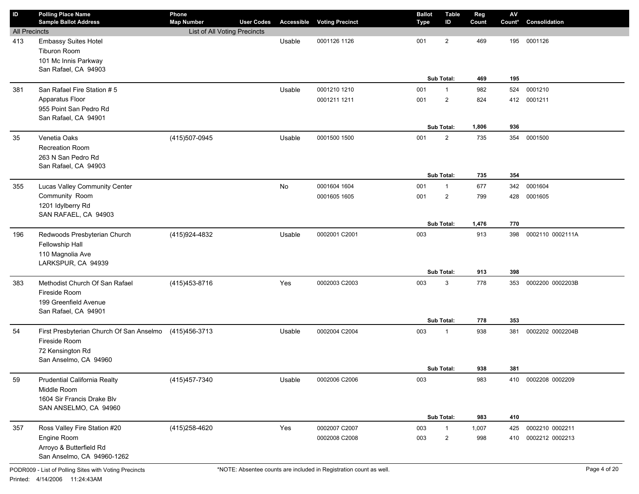| <b>Map Number</b><br><b>Voting Precinct</b><br>Count<br>Consolidation<br>Type<br><b>All Precincts</b><br>List of All Voting Precincts<br><b>Embassy Suites Hotel</b><br>0001126 1126<br>$\overline{2}$<br>469<br>0001126<br>413<br>Usable<br>001<br>195<br><b>Tiburon Room</b><br>101 Mc Innis Parkway<br>San Rafael, CA 94903<br>Sub Total:<br>195<br>469<br>San Rafael Fire Station # 5<br>0001210<br>381<br>Usable<br>0001210 1210<br>001<br>982<br>524<br>$\mathbf{1}$<br>Apparatus Floor<br>$\overline{2}$<br>0001211 1211<br>001<br>824<br>412<br>0001211<br>955 Point San Pedro Rd<br>San Rafael, CA 94901<br>Sub Total:<br>936<br>1,806<br>Venetia Oaks<br>$\overline{2}$<br>35<br>(415) 507-0945<br>Usable<br>0001500 1500<br>001<br>735<br>354<br>0001500<br>Recreation Room<br>263 N San Pedro Rd<br>San Rafael, CA 94903<br>354<br>Sub Total:<br>735<br>Lucas Valley Community Center<br>No<br>0001604<br>0001604 1604<br>001<br>677<br>342<br>355<br>$\mathbf{1}$<br>Community Room<br>$\overline{2}$<br>0001605 1605<br>001<br>799<br>428<br>0001605<br>1201 Idylberry Rd<br>SAN RAFAEL, CA 94903<br>Sub Total:<br>1,476<br>770<br>196<br>Redwoods Presbyterian Church<br>(415)924-4832<br>Usable<br>0002001 C2001<br>003<br>913<br>0002110 0002111A<br>398<br>Fellowship Hall<br>110 Magnolia Ave<br>LARKSPUR, CA 94939<br>Sub Total:<br>913<br>398<br>Methodist Church Of San Rafael<br>Yes<br>3<br>383<br>(415) 453-8716<br>0002003 C2003<br>003<br>778<br>0002200 0002203B<br>353<br>Fireside Room<br>199 Greenfield Avenue<br>San Rafael, CA 94901<br>Sub Total:<br>778<br>353<br>54<br>First Presbyterian Church Of San Anselmo<br>Usable<br>0002004 C2004<br>003<br>938<br>0002202 0002204B<br>(415)456-3713<br>381<br>$\mathbf{1}$<br>Fireside Room<br>72 Kensington Rd<br>San Anselmo, CA 94960<br>Sub Total:<br>938<br>381<br>(415) 457-7340<br>59<br>Prudential California Realty<br>Usable<br>0002006 C2006<br>003<br>983<br>0002208 0002209<br>410<br>Middle Room<br>1604 Sir Francis Drake Blv<br>SAN ANSELMO, CA 94960<br>Sub Total:<br>983<br>410<br>(415) 258-4620<br>Yes<br>Ross Valley Fire Station #20<br>0002007 C2007<br>0002210 0002211<br>357<br>003<br>$\mathbf{1}$<br>1,007<br>425<br>Engine Room<br>0002008 C2008<br>$\overline{2}$<br>0002212 0002213<br>003<br>998<br>410<br>Arroyo & Butterfield Rd<br>San Anselmo, CA 94960-1262 | $\mathsf{ID}$ | <b>Polling Place Name</b><br><b>Sample Ballot Address</b> | Phone | <b>User Codes</b> | Accessible | <b>Ballot</b> | Table<br>ID | Reg | ${\sf AV}$<br>Count* |  |
|-------------------------------------------------------------------------------------------------------------------------------------------------------------------------------------------------------------------------------------------------------------------------------------------------------------------------------------------------------------------------------------------------------------------------------------------------------------------------------------------------------------------------------------------------------------------------------------------------------------------------------------------------------------------------------------------------------------------------------------------------------------------------------------------------------------------------------------------------------------------------------------------------------------------------------------------------------------------------------------------------------------------------------------------------------------------------------------------------------------------------------------------------------------------------------------------------------------------------------------------------------------------------------------------------------------------------------------------------------------------------------------------------------------------------------------------------------------------------------------------------------------------------------------------------------------------------------------------------------------------------------------------------------------------------------------------------------------------------------------------------------------------------------------------------------------------------------------------------------------------------------------------------------------------------------------------------------------------------------------------------------------------------------------------------------------------------------------------------------------------------------------------------------------------------------------------------------------------------------------------------------------------------------------------------------------------------------------------------------------------------------|---------------|-----------------------------------------------------------|-------|-------------------|------------|---------------|-------------|-----|----------------------|--|
|                                                                                                                                                                                                                                                                                                                                                                                                                                                                                                                                                                                                                                                                                                                                                                                                                                                                                                                                                                                                                                                                                                                                                                                                                                                                                                                                                                                                                                                                                                                                                                                                                                                                                                                                                                                                                                                                                                                                                                                                                                                                                                                                                                                                                                                                                                                                                                               |               |                                                           |       |                   |            |               |             |     |                      |  |
|                                                                                                                                                                                                                                                                                                                                                                                                                                                                                                                                                                                                                                                                                                                                                                                                                                                                                                                                                                                                                                                                                                                                                                                                                                                                                                                                                                                                                                                                                                                                                                                                                                                                                                                                                                                                                                                                                                                                                                                                                                                                                                                                                                                                                                                                                                                                                                               |               |                                                           |       |                   |            |               |             |     |                      |  |
|                                                                                                                                                                                                                                                                                                                                                                                                                                                                                                                                                                                                                                                                                                                                                                                                                                                                                                                                                                                                                                                                                                                                                                                                                                                                                                                                                                                                                                                                                                                                                                                                                                                                                                                                                                                                                                                                                                                                                                                                                                                                                                                                                                                                                                                                                                                                                                               |               |                                                           |       |                   |            |               |             |     |                      |  |
|                                                                                                                                                                                                                                                                                                                                                                                                                                                                                                                                                                                                                                                                                                                                                                                                                                                                                                                                                                                                                                                                                                                                                                                                                                                                                                                                                                                                                                                                                                                                                                                                                                                                                                                                                                                                                                                                                                                                                                                                                                                                                                                                                                                                                                                                                                                                                                               |               |                                                           |       |                   |            |               |             |     |                      |  |
|                                                                                                                                                                                                                                                                                                                                                                                                                                                                                                                                                                                                                                                                                                                                                                                                                                                                                                                                                                                                                                                                                                                                                                                                                                                                                                                                                                                                                                                                                                                                                                                                                                                                                                                                                                                                                                                                                                                                                                                                                                                                                                                                                                                                                                                                                                                                                                               |               |                                                           |       |                   |            |               |             |     |                      |  |
|                                                                                                                                                                                                                                                                                                                                                                                                                                                                                                                                                                                                                                                                                                                                                                                                                                                                                                                                                                                                                                                                                                                                                                                                                                                                                                                                                                                                                                                                                                                                                                                                                                                                                                                                                                                                                                                                                                                                                                                                                                                                                                                                                                                                                                                                                                                                                                               |               |                                                           |       |                   |            |               |             |     |                      |  |
|                                                                                                                                                                                                                                                                                                                                                                                                                                                                                                                                                                                                                                                                                                                                                                                                                                                                                                                                                                                                                                                                                                                                                                                                                                                                                                                                                                                                                                                                                                                                                                                                                                                                                                                                                                                                                                                                                                                                                                                                                                                                                                                                                                                                                                                                                                                                                                               |               |                                                           |       |                   |            |               |             |     |                      |  |
|                                                                                                                                                                                                                                                                                                                                                                                                                                                                                                                                                                                                                                                                                                                                                                                                                                                                                                                                                                                                                                                                                                                                                                                                                                                                                                                                                                                                                                                                                                                                                                                                                                                                                                                                                                                                                                                                                                                                                                                                                                                                                                                                                                                                                                                                                                                                                                               |               |                                                           |       |                   |            |               |             |     |                      |  |
|                                                                                                                                                                                                                                                                                                                                                                                                                                                                                                                                                                                                                                                                                                                                                                                                                                                                                                                                                                                                                                                                                                                                                                                                                                                                                                                                                                                                                                                                                                                                                                                                                                                                                                                                                                                                                                                                                                                                                                                                                                                                                                                                                                                                                                                                                                                                                                               |               |                                                           |       |                   |            |               |             |     |                      |  |
|                                                                                                                                                                                                                                                                                                                                                                                                                                                                                                                                                                                                                                                                                                                                                                                                                                                                                                                                                                                                                                                                                                                                                                                                                                                                                                                                                                                                                                                                                                                                                                                                                                                                                                                                                                                                                                                                                                                                                                                                                                                                                                                                                                                                                                                                                                                                                                               |               |                                                           |       |                   |            |               |             |     |                      |  |
|                                                                                                                                                                                                                                                                                                                                                                                                                                                                                                                                                                                                                                                                                                                                                                                                                                                                                                                                                                                                                                                                                                                                                                                                                                                                                                                                                                                                                                                                                                                                                                                                                                                                                                                                                                                                                                                                                                                                                                                                                                                                                                                                                                                                                                                                                                                                                                               |               |                                                           |       |                   |            |               |             |     |                      |  |
|                                                                                                                                                                                                                                                                                                                                                                                                                                                                                                                                                                                                                                                                                                                                                                                                                                                                                                                                                                                                                                                                                                                                                                                                                                                                                                                                                                                                                                                                                                                                                                                                                                                                                                                                                                                                                                                                                                                                                                                                                                                                                                                                                                                                                                                                                                                                                                               |               |                                                           |       |                   |            |               |             |     |                      |  |
|                                                                                                                                                                                                                                                                                                                                                                                                                                                                                                                                                                                                                                                                                                                                                                                                                                                                                                                                                                                                                                                                                                                                                                                                                                                                                                                                                                                                                                                                                                                                                                                                                                                                                                                                                                                                                                                                                                                                                                                                                                                                                                                                                                                                                                                                                                                                                                               |               |                                                           |       |                   |            |               |             |     |                      |  |
|                                                                                                                                                                                                                                                                                                                                                                                                                                                                                                                                                                                                                                                                                                                                                                                                                                                                                                                                                                                                                                                                                                                                                                                                                                                                                                                                                                                                                                                                                                                                                                                                                                                                                                                                                                                                                                                                                                                                                                                                                                                                                                                                                                                                                                                                                                                                                                               |               |                                                           |       |                   |            |               |             |     |                      |  |
|                                                                                                                                                                                                                                                                                                                                                                                                                                                                                                                                                                                                                                                                                                                                                                                                                                                                                                                                                                                                                                                                                                                                                                                                                                                                                                                                                                                                                                                                                                                                                                                                                                                                                                                                                                                                                                                                                                                                                                                                                                                                                                                                                                                                                                                                                                                                                                               |               |                                                           |       |                   |            |               |             |     |                      |  |
|                                                                                                                                                                                                                                                                                                                                                                                                                                                                                                                                                                                                                                                                                                                                                                                                                                                                                                                                                                                                                                                                                                                                                                                                                                                                                                                                                                                                                                                                                                                                                                                                                                                                                                                                                                                                                                                                                                                                                                                                                                                                                                                                                                                                                                                                                                                                                                               |               |                                                           |       |                   |            |               |             |     |                      |  |
|                                                                                                                                                                                                                                                                                                                                                                                                                                                                                                                                                                                                                                                                                                                                                                                                                                                                                                                                                                                                                                                                                                                                                                                                                                                                                                                                                                                                                                                                                                                                                                                                                                                                                                                                                                                                                                                                                                                                                                                                                                                                                                                                                                                                                                                                                                                                                                               |               |                                                           |       |                   |            |               |             |     |                      |  |
|                                                                                                                                                                                                                                                                                                                                                                                                                                                                                                                                                                                                                                                                                                                                                                                                                                                                                                                                                                                                                                                                                                                                                                                                                                                                                                                                                                                                                                                                                                                                                                                                                                                                                                                                                                                                                                                                                                                                                                                                                                                                                                                                                                                                                                                                                                                                                                               |               |                                                           |       |                   |            |               |             |     |                      |  |
|                                                                                                                                                                                                                                                                                                                                                                                                                                                                                                                                                                                                                                                                                                                                                                                                                                                                                                                                                                                                                                                                                                                                                                                                                                                                                                                                                                                                                                                                                                                                                                                                                                                                                                                                                                                                                                                                                                                                                                                                                                                                                                                                                                                                                                                                                                                                                                               |               |                                                           |       |                   |            |               |             |     |                      |  |
|                                                                                                                                                                                                                                                                                                                                                                                                                                                                                                                                                                                                                                                                                                                                                                                                                                                                                                                                                                                                                                                                                                                                                                                                                                                                                                                                                                                                                                                                                                                                                                                                                                                                                                                                                                                                                                                                                                                                                                                                                                                                                                                                                                                                                                                                                                                                                                               |               |                                                           |       |                   |            |               |             |     |                      |  |
|                                                                                                                                                                                                                                                                                                                                                                                                                                                                                                                                                                                                                                                                                                                                                                                                                                                                                                                                                                                                                                                                                                                                                                                                                                                                                                                                                                                                                                                                                                                                                                                                                                                                                                                                                                                                                                                                                                                                                                                                                                                                                                                                                                                                                                                                                                                                                                               |               |                                                           |       |                   |            |               |             |     |                      |  |
|                                                                                                                                                                                                                                                                                                                                                                                                                                                                                                                                                                                                                                                                                                                                                                                                                                                                                                                                                                                                                                                                                                                                                                                                                                                                                                                                                                                                                                                                                                                                                                                                                                                                                                                                                                                                                                                                                                                                                                                                                                                                                                                                                                                                                                                                                                                                                                               |               |                                                           |       |                   |            |               |             |     |                      |  |
|                                                                                                                                                                                                                                                                                                                                                                                                                                                                                                                                                                                                                                                                                                                                                                                                                                                                                                                                                                                                                                                                                                                                                                                                                                                                                                                                                                                                                                                                                                                                                                                                                                                                                                                                                                                                                                                                                                                                                                                                                                                                                                                                                                                                                                                                                                                                                                               |               |                                                           |       |                   |            |               |             |     |                      |  |
|                                                                                                                                                                                                                                                                                                                                                                                                                                                                                                                                                                                                                                                                                                                                                                                                                                                                                                                                                                                                                                                                                                                                                                                                                                                                                                                                                                                                                                                                                                                                                                                                                                                                                                                                                                                                                                                                                                                                                                                                                                                                                                                                                                                                                                                                                                                                                                               |               |                                                           |       |                   |            |               |             |     |                      |  |
|                                                                                                                                                                                                                                                                                                                                                                                                                                                                                                                                                                                                                                                                                                                                                                                                                                                                                                                                                                                                                                                                                                                                                                                                                                                                                                                                                                                                                                                                                                                                                                                                                                                                                                                                                                                                                                                                                                                                                                                                                                                                                                                                                                                                                                                                                                                                                                               |               |                                                           |       |                   |            |               |             |     |                      |  |
|                                                                                                                                                                                                                                                                                                                                                                                                                                                                                                                                                                                                                                                                                                                                                                                                                                                                                                                                                                                                                                                                                                                                                                                                                                                                                                                                                                                                                                                                                                                                                                                                                                                                                                                                                                                                                                                                                                                                                                                                                                                                                                                                                                                                                                                                                                                                                                               |               |                                                           |       |                   |            |               |             |     |                      |  |
|                                                                                                                                                                                                                                                                                                                                                                                                                                                                                                                                                                                                                                                                                                                                                                                                                                                                                                                                                                                                                                                                                                                                                                                                                                                                                                                                                                                                                                                                                                                                                                                                                                                                                                                                                                                                                                                                                                                                                                                                                                                                                                                                                                                                                                                                                                                                                                               |               |                                                           |       |                   |            |               |             |     |                      |  |
|                                                                                                                                                                                                                                                                                                                                                                                                                                                                                                                                                                                                                                                                                                                                                                                                                                                                                                                                                                                                                                                                                                                                                                                                                                                                                                                                                                                                                                                                                                                                                                                                                                                                                                                                                                                                                                                                                                                                                                                                                                                                                                                                                                                                                                                                                                                                                                               |               |                                                           |       |                   |            |               |             |     |                      |  |
|                                                                                                                                                                                                                                                                                                                                                                                                                                                                                                                                                                                                                                                                                                                                                                                                                                                                                                                                                                                                                                                                                                                                                                                                                                                                                                                                                                                                                                                                                                                                                                                                                                                                                                                                                                                                                                                                                                                                                                                                                                                                                                                                                                                                                                                                                                                                                                               |               |                                                           |       |                   |            |               |             |     |                      |  |
|                                                                                                                                                                                                                                                                                                                                                                                                                                                                                                                                                                                                                                                                                                                                                                                                                                                                                                                                                                                                                                                                                                                                                                                                                                                                                                                                                                                                                                                                                                                                                                                                                                                                                                                                                                                                                                                                                                                                                                                                                                                                                                                                                                                                                                                                                                                                                                               |               |                                                           |       |                   |            |               |             |     |                      |  |
|                                                                                                                                                                                                                                                                                                                                                                                                                                                                                                                                                                                                                                                                                                                                                                                                                                                                                                                                                                                                                                                                                                                                                                                                                                                                                                                                                                                                                                                                                                                                                                                                                                                                                                                                                                                                                                                                                                                                                                                                                                                                                                                                                                                                                                                                                                                                                                               |               |                                                           |       |                   |            |               |             |     |                      |  |
|                                                                                                                                                                                                                                                                                                                                                                                                                                                                                                                                                                                                                                                                                                                                                                                                                                                                                                                                                                                                                                                                                                                                                                                                                                                                                                                                                                                                                                                                                                                                                                                                                                                                                                                                                                                                                                                                                                                                                                                                                                                                                                                                                                                                                                                                                                                                                                               |               |                                                           |       |                   |            |               |             |     |                      |  |
|                                                                                                                                                                                                                                                                                                                                                                                                                                                                                                                                                                                                                                                                                                                                                                                                                                                                                                                                                                                                                                                                                                                                                                                                                                                                                                                                                                                                                                                                                                                                                                                                                                                                                                                                                                                                                                                                                                                                                                                                                                                                                                                                                                                                                                                                                                                                                                               |               |                                                           |       |                   |            |               |             |     |                      |  |
|                                                                                                                                                                                                                                                                                                                                                                                                                                                                                                                                                                                                                                                                                                                                                                                                                                                                                                                                                                                                                                                                                                                                                                                                                                                                                                                                                                                                                                                                                                                                                                                                                                                                                                                                                                                                                                                                                                                                                                                                                                                                                                                                                                                                                                                                                                                                                                               |               |                                                           |       |                   |            |               |             |     |                      |  |
|                                                                                                                                                                                                                                                                                                                                                                                                                                                                                                                                                                                                                                                                                                                                                                                                                                                                                                                                                                                                                                                                                                                                                                                                                                                                                                                                                                                                                                                                                                                                                                                                                                                                                                                                                                                                                                                                                                                                                                                                                                                                                                                                                                                                                                                                                                                                                                               |               |                                                           |       |                   |            |               |             |     |                      |  |
|                                                                                                                                                                                                                                                                                                                                                                                                                                                                                                                                                                                                                                                                                                                                                                                                                                                                                                                                                                                                                                                                                                                                                                                                                                                                                                                                                                                                                                                                                                                                                                                                                                                                                                                                                                                                                                                                                                                                                                                                                                                                                                                                                                                                                                                                                                                                                                               |               |                                                           |       |                   |            |               |             |     |                      |  |
|                                                                                                                                                                                                                                                                                                                                                                                                                                                                                                                                                                                                                                                                                                                                                                                                                                                                                                                                                                                                                                                                                                                                                                                                                                                                                                                                                                                                                                                                                                                                                                                                                                                                                                                                                                                                                                                                                                                                                                                                                                                                                                                                                                                                                                                                                                                                                                               |               |                                                           |       |                   |            |               |             |     |                      |  |
|                                                                                                                                                                                                                                                                                                                                                                                                                                                                                                                                                                                                                                                                                                                                                                                                                                                                                                                                                                                                                                                                                                                                                                                                                                                                                                                                                                                                                                                                                                                                                                                                                                                                                                                                                                                                                                                                                                                                                                                                                                                                                                                                                                                                                                                                                                                                                                               |               |                                                           |       |                   |            |               |             |     |                      |  |
|                                                                                                                                                                                                                                                                                                                                                                                                                                                                                                                                                                                                                                                                                                                                                                                                                                                                                                                                                                                                                                                                                                                                                                                                                                                                                                                                                                                                                                                                                                                                                                                                                                                                                                                                                                                                                                                                                                                                                                                                                                                                                                                                                                                                                                                                                                                                                                               |               |                                                           |       |                   |            |               |             |     |                      |  |
|                                                                                                                                                                                                                                                                                                                                                                                                                                                                                                                                                                                                                                                                                                                                                                                                                                                                                                                                                                                                                                                                                                                                                                                                                                                                                                                                                                                                                                                                                                                                                                                                                                                                                                                                                                                                                                                                                                                                                                                                                                                                                                                                                                                                                                                                                                                                                                               |               |                                                           |       |                   |            |               |             |     |                      |  |
|                                                                                                                                                                                                                                                                                                                                                                                                                                                                                                                                                                                                                                                                                                                                                                                                                                                                                                                                                                                                                                                                                                                                                                                                                                                                                                                                                                                                                                                                                                                                                                                                                                                                                                                                                                                                                                                                                                                                                                                                                                                                                                                                                                                                                                                                                                                                                                               |               |                                                           |       |                   |            |               |             |     |                      |  |
|                                                                                                                                                                                                                                                                                                                                                                                                                                                                                                                                                                                                                                                                                                                                                                                                                                                                                                                                                                                                                                                                                                                                                                                                                                                                                                                                                                                                                                                                                                                                                                                                                                                                                                                                                                                                                                                                                                                                                                                                                                                                                                                                                                                                                                                                                                                                                                               |               |                                                           |       |                   |            |               |             |     |                      |  |
|                                                                                                                                                                                                                                                                                                                                                                                                                                                                                                                                                                                                                                                                                                                                                                                                                                                                                                                                                                                                                                                                                                                                                                                                                                                                                                                                                                                                                                                                                                                                                                                                                                                                                                                                                                                                                                                                                                                                                                                                                                                                                                                                                                                                                                                                                                                                                                               |               |                                                           |       |                   |            |               |             |     |                      |  |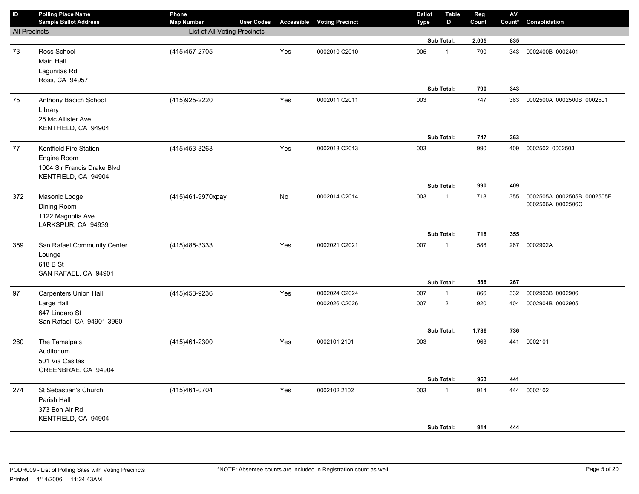| $\sf ID$             | <b>Polling Place Name</b><br><b>Sample Ballot Address</b>                                   | Phone<br><b>Map Number</b>   | <b>User Codes</b> |     | <b>Accessible Voting Precinct</b> | <b>Ballot</b><br><b>Type</b> | <b>Table</b><br>ID | Reg<br>Count | ${\sf AV}$<br>Count* | Consolidation                                   |
|----------------------|---------------------------------------------------------------------------------------------|------------------------------|-------------------|-----|-----------------------------------|------------------------------|--------------------|--------------|----------------------|-------------------------------------------------|
| <b>All Precincts</b> |                                                                                             | List of All Voting Precincts |                   |     |                                   |                              |                    |              |                      |                                                 |
|                      |                                                                                             |                              |                   |     |                                   |                              | Sub Total:         | 2,005        | 835                  |                                                 |
| 73                   | Ross School<br>Main Hall                                                                    | (415) 457-2705               |                   | Yes | 0002010 C2010                     | 005                          | $\mathbf{1}$       | 790          | 343                  | 0002400B 0002401                                |
|                      | Lagunitas Rd<br>Ross, CA 94957                                                              |                              |                   |     |                                   |                              |                    |              |                      |                                                 |
|                      |                                                                                             |                              |                   |     |                                   |                              | Sub Total:         | 790          | 343                  |                                                 |
| 75                   | Anthony Bacich School<br>Library<br>25 Mc Allister Ave                                      | (415) 925-2220               |                   | Yes | 0002011 C2011                     | 003                          |                    | 747          | 363                  | 0002500A 0002500B 0002501                       |
|                      | KENTFIELD, CA 94904                                                                         |                              |                   |     |                                   |                              |                    |              |                      |                                                 |
|                      |                                                                                             |                              |                   |     |                                   |                              | Sub Total:         | 747          | 363                  |                                                 |
| 77                   | Kentfield Fire Station<br>Engine Room<br>1004 Sir Francis Drake Blvd<br>KENTFIELD, CA 94904 | (415) 453-3263               |                   | Yes | 0002013 C2013                     | 003                          |                    | 990          | 409                  | 0002502 0002503                                 |
|                      |                                                                                             |                              |                   |     |                                   |                              | <b>Sub Total:</b>  | 990          | 409                  |                                                 |
| 372                  | Masonic Lodge<br>Dining Room<br>1122 Magnolia Ave<br>LARKSPUR, CA 94939                     | (415)461-9970xpay            |                   | No  | 0002014 C2014                     | 003                          | $\mathbf{1}$       | 718          | 355                  | 0002505A 0002505B 0002505F<br>0002506A 0002506C |
|                      |                                                                                             |                              |                   |     |                                   |                              | Sub Total:         | 718          | 355                  |                                                 |
| 359                  | San Rafael Community Center<br>Lounge<br>618 B St<br>SAN RAFAEL, CA 94901                   | (415) 485-3333               |                   | Yes | 0002021 C2021                     | 007                          | $\mathbf{1}$       | 588          |                      | 267 0002902A                                    |
|                      |                                                                                             |                              |                   |     |                                   |                              | Sub Total:         | 588          | 267                  |                                                 |
| 97                   | <b>Carpenters Union Hall</b>                                                                | (415) 453-9236               |                   | Yes | 0002024 C2024                     | 007                          | $\mathbf{1}$       | 866          | 332                  | 0002903B 0002906                                |
|                      | Large Hall<br>647 Lindaro St<br>San Rafael, CA 94901-3960                                   |                              |                   |     | 0002026 C2026                     | 007                          | $\overline{c}$     | 920          | 404                  | 0002904B 0002905                                |
|                      |                                                                                             |                              |                   |     |                                   |                              | <b>Sub Total:</b>  | 1,786        | 736                  |                                                 |
| 260                  | The Tamalpais<br>Auditorium<br>501 Via Casitas<br>GREENBRAE, CA 94904                       | (415)461-2300                |                   | Yes | 0002101 2101                      | 003                          |                    | 963          | 441                  | 0002101                                         |
|                      |                                                                                             |                              |                   |     |                                   |                              | Sub Total:         | 963          | 441                  |                                                 |
| 274                  | St Sebastian's Church<br>Parish Hall<br>373 Bon Air Rd<br>KENTFIELD, CA 94904               | (415) 461-0704               |                   | Yes | 0002102 2102                      | 003                          | $\mathbf{1}$       | 914          | 444                  | 0002102                                         |
|                      |                                                                                             |                              |                   |     |                                   |                              | Sub Total:         | 914          | 444                  |                                                 |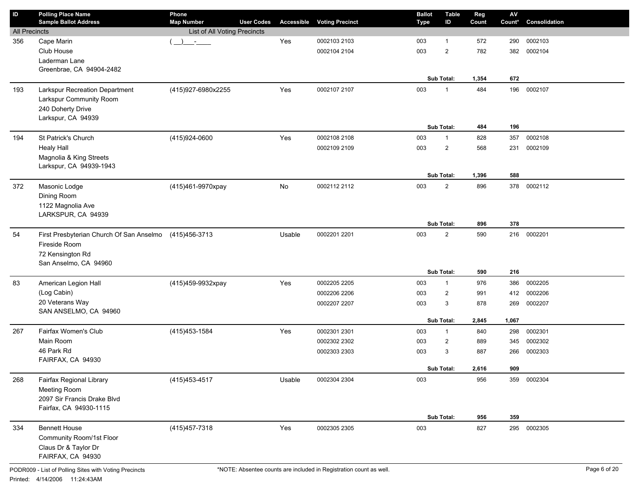| ID                   | <b>Polling Place Name</b>                          | Phone                                  |            |                        | <b>Ballot</b> | Table          | Reg        | $\mathsf{A}\mathsf{V}$ |               |
|----------------------|----------------------------------------------------|----------------------------------------|------------|------------------------|---------------|----------------|------------|------------------------|---------------|
|                      | <b>Sample Ballot Address</b>                       | <b>User Codes</b><br><b>Map Number</b> | Accessible | <b>Voting Precinct</b> | <b>Type</b>   | ID             | Count      | Count*                 | Consolidation |
| <b>All Precincts</b> |                                                    | List of All Voting Precincts           |            |                        |               | $\mathbf{1}$   |            |                        | 0002103       |
| 356                  | Cape Marin<br>Club House                           | $\mathcal{L}$                          | Yes        | 0002103 2103           | 003<br>003    | $\overline{2}$ | 572<br>782 | 290<br>382             | 0002104       |
|                      | Laderman Lane                                      |                                        |            | 0002104 2104           |               |                |            |                        |               |
|                      | Greenbrae, CA 94904-2482                           |                                        |            |                        |               |                |            |                        |               |
|                      |                                                    |                                        |            |                        |               | Sub Total:     | 1,354      | 672                    |               |
| 193                  | Larkspur Recreation Department                     | (415)927-6980x2255                     | Yes        | 0002107 2107           | 003           | $\mathbf{1}$   | 484        | 196                    | 0002107       |
|                      | Larkspur Community Room                            |                                        |            |                        |               |                |            |                        |               |
|                      | 240 Doherty Drive                                  |                                        |            |                        |               |                |            |                        |               |
|                      | Larkspur, CA 94939                                 |                                        |            |                        |               |                |            |                        |               |
|                      |                                                    |                                        |            |                        |               | Sub Total:     | 484        | 196                    |               |
| 194                  | St Patrick's Church                                | (415)924-0600                          | Yes        | 0002108 2108           | 003           | $\mathbf{1}$   | 828        | 357                    | 0002108       |
|                      | <b>Healy Hall</b>                                  |                                        |            | 0002109 2109           | 003           | $\overline{2}$ | 568        | 231                    | 0002109       |
|                      | Magnolia & King Streets<br>Larkspur, CA 94939-1943 |                                        |            |                        |               |                |            |                        |               |
|                      |                                                    |                                        |            |                        |               | Sub Total:     | 1,396      | 588                    |               |
| 372                  | Masonic Lodge                                      | (415)461-9970xpay                      | No         | 0002112 2112           | 003           | $\overline{2}$ | 896        | 378                    | 0002112       |
|                      | Dining Room                                        |                                        |            |                        |               |                |            |                        |               |
|                      | 1122 Magnolia Ave                                  |                                        |            |                        |               |                |            |                        |               |
|                      | LARKSPUR, CA 94939                                 |                                        |            |                        |               |                |            |                        |               |
|                      |                                                    |                                        |            |                        |               | Sub Total:     | 896        | 378                    |               |
| 54                   | First Presbyterian Church Of San Anselmo           | (415) 456-3713                         | Usable     | 0002201 2201           | 003           | $\overline{2}$ | 590        | 216                    | 0002201       |
|                      | Fireside Room                                      |                                        |            |                        |               |                |            |                        |               |
|                      | 72 Kensington Rd                                   |                                        |            |                        |               |                |            |                        |               |
|                      | San Anselmo, CA 94960                              |                                        |            |                        |               | Sub Total:     | 590        | 216                    |               |
|                      |                                                    |                                        | Yes        | 0002205 2205           | 003           | $\mathbf{1}$   | 976        | 386                    | 0002205       |
| 83                   | American Legion Hall<br>(Log Cabin)                | (415)459-9932xpay                      |            | 0002206 2206           | 003           | $\overline{2}$ | 991        | 412                    | 0002206       |
|                      | 20 Veterans Way                                    |                                        |            | 0002207 2207           | 003           | 3              | 878        | 269                    | 0002207       |
|                      | SAN ANSELMO, CA 94960                              |                                        |            |                        |               |                |            |                        |               |
|                      |                                                    |                                        |            |                        |               | Sub Total:     | 2,845      | 1,067                  |               |
| 267                  | Fairfax Women's Club                               | (415) 453-1584                         | Yes        | 0002301 2301           | 003           | $\mathbf{1}$   | 840        | 298                    | 0002301       |
|                      | Main Room                                          |                                        |            | 0002302 2302           | 003           | $\overline{2}$ | 889        | 345                    | 0002302       |
|                      | 46 Park Rd                                         |                                        |            | 0002303 2303           | 003           | 3              | 887        | 266                    | 0002303       |
|                      | FAIRFAX, CA 94930                                  |                                        |            |                        |               |                |            |                        |               |
|                      |                                                    |                                        |            |                        |               | Sub Total:     | 2,616      | 909                    |               |
| 268                  | Fairfax Regional Library                           | (415) 453-4517                         | Usable     | 0002304 2304           | 003           |                | 956        |                        | 359 0002304   |
|                      | Meeting Room<br>2097 Sir Francis Drake Blvd        |                                        |            |                        |               |                |            |                        |               |
|                      | Fairfax, CA 94930-1115                             |                                        |            |                        |               |                |            |                        |               |
|                      |                                                    |                                        |            |                        |               | Sub Total:     | 956        | 359                    |               |
| 334                  | <b>Bennett House</b>                               | (415) 457-7318                         | Yes        | 0002305 2305           | 003           |                | 827        | 295                    | 0002305       |
|                      | Community Room/1st Floor                           |                                        |            |                        |               |                |            |                        |               |
|                      | Claus Dr & Taylor Dr                               |                                        |            |                        |               |                |            |                        |               |
|                      | FAIRFAX, CA 94930                                  |                                        |            |                        |               |                |            |                        |               |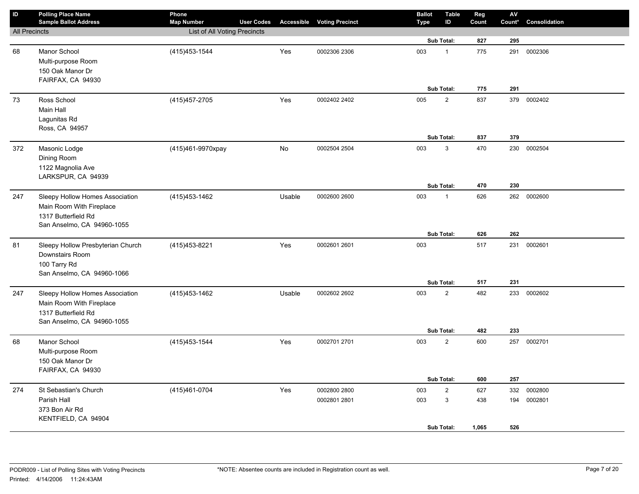| ID                   | <b>Polling Place Name</b><br><b>Sample Ballot Address</b> | Phone<br><b>Map Number</b>   | <b>User Codes</b> | Accessible | <b>Voting Precinct</b> | <b>Ballot</b> | <b>Table</b><br>ID | Reg<br>Count | ${\sf AV}$<br>Count* | Consolidation |
|----------------------|-----------------------------------------------------------|------------------------------|-------------------|------------|------------------------|---------------|--------------------|--------------|----------------------|---------------|
| <b>All Precincts</b> |                                                           | List of All Voting Precincts |                   |            |                        | Type          |                    |              |                      |               |
|                      |                                                           |                              |                   |            |                        |               | Sub Total:         | 827          | 295                  |               |
| 68                   | Manor School                                              | (415) 453-1544               |                   | Yes        | 0002306 2306           | 003           | $\mathbf{1}$       | 775          | 291                  | 0002306       |
|                      | Multi-purpose Room                                        |                              |                   |            |                        |               |                    |              |                      |               |
|                      | 150 Oak Manor Dr                                          |                              |                   |            |                        |               |                    |              |                      |               |
|                      | FAIRFAX, CA 94930                                         |                              |                   |            |                        |               |                    |              |                      |               |
|                      |                                                           |                              |                   |            |                        |               | Sub Total:         | 775          | 291                  |               |
| 73                   | Ross School                                               | (415) 457-2705               |                   | Yes        | 0002402 2402           | 005           | $\sqrt{2}$         | 837          | 379                  | 0002402       |
|                      | Main Hall                                                 |                              |                   |            |                        |               |                    |              |                      |               |
|                      | Lagunitas Rd                                              |                              |                   |            |                        |               |                    |              |                      |               |
|                      | Ross, CA 94957                                            |                              |                   |            |                        |               |                    |              |                      |               |
|                      |                                                           |                              |                   |            |                        |               | Sub Total:         | 837          | 379                  |               |
| 372                  | Masonic Lodge                                             | (415)461-9970xpay            |                   | No         | 0002504 2504           | 003           | 3                  | 470          | 230                  | 0002504       |
|                      | Dining Room                                               |                              |                   |            |                        |               |                    |              |                      |               |
|                      | 1122 Magnolia Ave<br>LARKSPUR, CA 94939                   |                              |                   |            |                        |               |                    |              |                      |               |
|                      |                                                           |                              |                   |            |                        |               | Sub Total:         | 470          | 230                  |               |
| 247                  | Sleepy Hollow Homes Association                           | (415) 453-1462               |                   | Usable     | 0002600 2600           | 003           | $\mathbf{1}$       | 626          | 262                  | 0002600       |
|                      | Main Room With Fireplace                                  |                              |                   |            |                        |               |                    |              |                      |               |
|                      | 1317 Butterfield Rd                                       |                              |                   |            |                        |               |                    |              |                      |               |
|                      | San Anselmo, CA 94960-1055                                |                              |                   |            |                        |               |                    |              |                      |               |
|                      |                                                           |                              |                   |            |                        |               | Sub Total:         | 626          | 262                  |               |
| 81                   | Sleepy Hollow Presbyterian Church                         | (415) 453-8221               |                   | Yes        | 0002601 2601           | 003           |                    | 517          | 231                  | 0002601       |
|                      | Downstairs Room                                           |                              |                   |            |                        |               |                    |              |                      |               |
|                      | 100 Tarry Rd                                              |                              |                   |            |                        |               |                    |              |                      |               |
|                      | San Anselmo, CA 94960-1066                                |                              |                   |            |                        |               |                    |              |                      |               |
|                      |                                                           |                              |                   |            |                        |               | Sub Total:         | 517          | 231                  |               |
| 247                  | Sleepy Hollow Homes Association                           | (415) 453-1462               |                   | Usable     | 0002602 2602           | 003           | $\mathbf 2$        | 482          | 233                  | 0002602       |
|                      | Main Room With Fireplace<br>1317 Butterfield Rd           |                              |                   |            |                        |               |                    |              |                      |               |
|                      | San Anselmo, CA 94960-1055                                |                              |                   |            |                        |               |                    |              |                      |               |
|                      |                                                           |                              |                   |            |                        |               | Sub Total:         | 482          | 233                  |               |
| 68                   | Manor School                                              | (415) 453-1544               |                   | Yes        | 0002701 2701           | 003           | $\overline{2}$     | 600          | 257                  | 0002701       |
|                      | Multi-purpose Room                                        |                              |                   |            |                        |               |                    |              |                      |               |
|                      | 150 Oak Manor Dr                                          |                              |                   |            |                        |               |                    |              |                      |               |
|                      | FAIRFAX, CA 94930                                         |                              |                   |            |                        |               |                    |              |                      |               |
|                      |                                                           |                              |                   |            |                        |               | Sub Total:         | 600          | 257                  |               |
| 274                  | St Sebastian's Church                                     | (415)461-0704                |                   | Yes        | 0002800 2800           | 003           | $\sqrt{2}$         | 627          | 332                  | 0002800       |
|                      | Parish Hall                                               |                              |                   |            | 0002801 2801           | 003           | $\mathbf{3}$       | 438          | 194                  | 0002801       |
|                      | 373 Bon Air Rd                                            |                              |                   |            |                        |               |                    |              |                      |               |
|                      | KENTFIELD, CA 94904                                       |                              |                   |            |                        |               |                    |              |                      |               |
|                      |                                                           |                              |                   |            |                        |               | Sub Total:         | 1,065        | 526                  |               |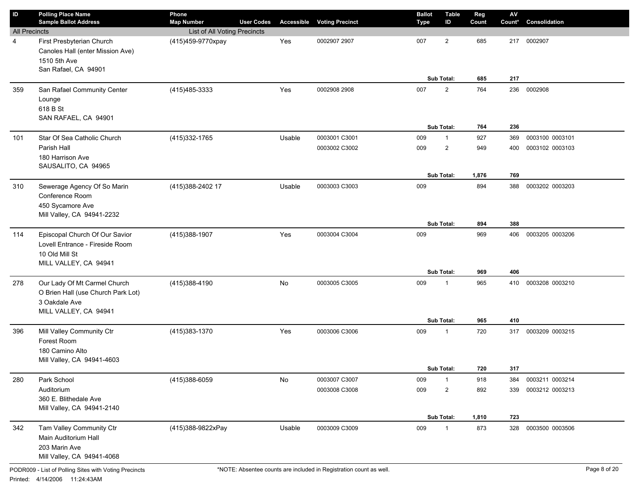| ID                   | <b>Polling Place Name</b><br><b>Sample Ballot Address</b>                                                    | Phone<br><b>Map Number</b>   | <b>User Codes</b> | Accessible | <b>Voting Precinct</b> | <b>Ballot</b><br><b>Type</b> | <b>Table</b><br>ID           | Reg<br>Count | $\mathsf{AV}$<br>Count* | Consolidation   |
|----------------------|--------------------------------------------------------------------------------------------------------------|------------------------------|-------------------|------------|------------------------|------------------------------|------------------------------|--------------|-------------------------|-----------------|
| <b>All Precincts</b> |                                                                                                              | List of All Voting Precincts |                   |            |                        |                              |                              |              |                         |                 |
| 4                    | First Presbyterian Church<br>Canoles Hall (enter Mission Ave)<br>1510 5th Ave<br>San Rafael, CA 94901        | (415)459-9770xpay            |                   | Yes        | 0002907 2907           | 007                          | $\overline{2}$<br>Sub Total: | 685<br>685   | 217<br>217              | 0002907         |
| 359                  | San Rafael Community Center                                                                                  | (415) 485-3333               |                   | Yes        | 0002908 2908           | 007                          | $\overline{2}$               | 764          | 236                     | 0002908         |
|                      | Lounge<br>618 B St<br>SAN RAFAEL, CA 94901                                                                   |                              |                   |            |                        |                              | Sub Total:                   | 764          | 236                     |                 |
| 101                  | Star Of Sea Catholic Church                                                                                  | (415) 332-1765               |                   | Usable     | 0003001 C3001          | 009                          | $\mathbf{1}$                 | 927          | 369                     | 0003100 0003101 |
|                      | Parish Hall<br>180 Harrison Ave<br>SAUSALITO, CA 94965                                                       |                              |                   |            | 0003002 C3002          | 009                          | $\overline{2}$               | 949          | 400                     | 0003102 0003103 |
|                      |                                                                                                              |                              |                   |            |                        |                              | <b>Sub Total:</b>            | 1,876        | 769                     |                 |
| 310                  | Sewerage Agency Of So Marin<br>Conference Room<br>450 Sycamore Ave<br>Mill Valley, CA 94941-2232             | (415) 388-2402 17            |                   | Usable     | 0003003 C3003          | 009                          | Sub Total:                   | 894<br>894   | 388<br>388              | 0003202 0003203 |
|                      |                                                                                                              |                              |                   |            |                        |                              |                              |              |                         |                 |
| 114                  | Episcopal Church Of Our Savior<br>Lovell Entrance - Fireside Room<br>10 Old Mill St<br>MILL VALLEY, CA 94941 | (415)388-1907                |                   | Yes        | 0003004 C3004          | 009                          |                              | 969          | 406                     | 0003205 0003206 |
|                      |                                                                                                              |                              |                   |            |                        |                              | Sub Total:                   | 969          | 406                     |                 |
| 278                  | Our Lady Of Mt Carmel Church<br>O Brien Hall (use Church Park Lot)<br>3 Oakdale Ave<br>MILL VALLEY, CA 94941 | (415)388-4190                |                   | No         | 0003005 C3005          | 009                          | $\mathbf{1}$<br>Sub Total:   | 965<br>965   | 410<br>410              | 0003208 0003210 |
| 396                  | Mill Valley Community Ctr                                                                                    | (415) 383-1370               |                   | Yes        | 0003006 C3006          | 009                          | $\mathbf{1}$                 | 720          | 317                     | 0003209 0003215 |
|                      | Forest Room<br>180 Camino Alto<br>Mill Valley, CA 94941-4603                                                 |                              |                   |            |                        |                              |                              |              |                         |                 |
|                      |                                                                                                              |                              |                   |            |                        |                              | Sub Total:                   | 720          | 317                     |                 |
| 280                  | Park School                                                                                                  | (415)388-6059                |                   | No         | 0003007 C3007          | 009                          | $\mathbf{1}$                 | 918          | 384                     | 0003211 0003214 |
|                      | Auditorium<br>360 E. Blithedale Ave<br>Mill Valley, CA 94941-2140                                            |                              |                   |            | 0003008 C3008          | 009                          | $\overline{2}$               | 892          | 339                     | 0003212 0003213 |
|                      |                                                                                                              |                              |                   |            |                        |                              | Sub Total:                   | 1,810        | 723                     |                 |
| 342                  | Tam Valley Community Ctr<br>Main Auditorium Hall<br>203 Marin Ave<br>Mill Valley, CA 94941-4068              | (415)388-9822xPay            |                   | Usable     | 0003009 C3009          | 009                          | $\mathbf{1}$                 | 873          | 328                     | 0003500 0003506 |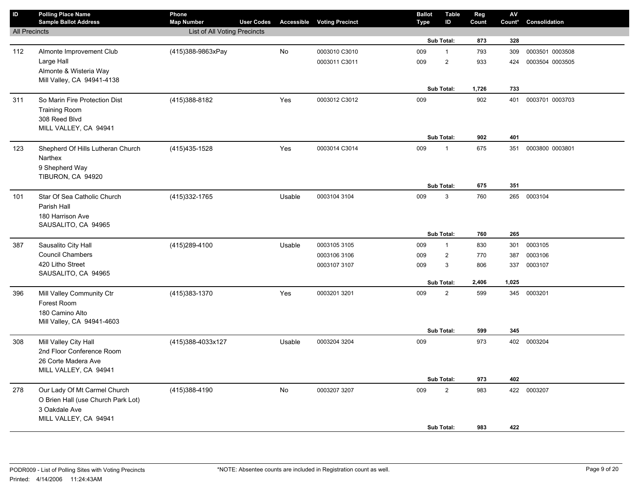| $\sf ID$             | <b>Polling Place Name</b><br><b>Sample Ballot Address</b> | Phone<br><b>Map Number</b>   | <b>User Codes</b> |        | <b>Accessible Voting Precinct</b> | <b>Ballot</b><br><b>Type</b> | <b>Table</b><br>ID | Reg<br>Count | AV<br>Count* | Consolidation   |
|----------------------|-----------------------------------------------------------|------------------------------|-------------------|--------|-----------------------------------|------------------------------|--------------------|--------------|--------------|-----------------|
| <b>All Precincts</b> |                                                           | List of All Voting Precincts |                   |        |                                   |                              |                    |              |              |                 |
|                      |                                                           |                              |                   |        |                                   |                              | Sub Total:         | 873          | 328          |                 |
| 112                  | Almonte Improvement Club                                  | (415)388-9863xPay            |                   | No     | 0003010 C3010                     | 009                          | $\mathbf{1}$       | 793          | 309          | 0003501 0003508 |
|                      | Large Hall                                                |                              |                   |        | 0003011 C3011                     | 009                          | $\overline{2}$     | 933          | 424          | 0003504 0003505 |
|                      | Almonte & Wisteria Way                                    |                              |                   |        |                                   |                              |                    |              |              |                 |
|                      | Mill Valley, CA 94941-4138                                |                              |                   |        |                                   |                              |                    |              |              |                 |
|                      |                                                           |                              |                   |        |                                   |                              | Sub Total:         | 1,726        | 733          |                 |
| 311                  | So Marin Fire Protection Dist                             | (415) 388-8182               |                   | Yes    | 0003012 C3012                     | 009                          |                    | 902          | 401          | 0003701 0003703 |
|                      | <b>Training Room</b>                                      |                              |                   |        |                                   |                              |                    |              |              |                 |
|                      | 308 Reed Blvd                                             |                              |                   |        |                                   |                              |                    |              |              |                 |
|                      | MILL VALLEY, CA 94941                                     |                              |                   |        |                                   |                              | Sub Total:         | 902          | 401          |                 |
|                      |                                                           |                              |                   |        | 0003014 C3014                     | 009                          | $\mathbf{1}$       | 675          |              | 0003800 0003801 |
| 123                  | Shepherd Of Hills Lutheran Church<br>Narthex              | (415) 435-1528               |                   | Yes    |                                   |                              |                    |              | 351          |                 |
|                      | 9 Shepherd Way                                            |                              |                   |        |                                   |                              |                    |              |              |                 |
|                      | TIBURON, CA 94920                                         |                              |                   |        |                                   |                              |                    |              |              |                 |
|                      |                                                           |                              |                   |        |                                   |                              | Sub Total:         | 675          | 351          |                 |
| 101                  | Star Of Sea Catholic Church                               | (415) 332-1765               |                   | Usable | 0003104 3104                      | 009                          | 3                  | 760          |              | 265 0003104     |
|                      | Parish Hall                                               |                              |                   |        |                                   |                              |                    |              |              |                 |
|                      | 180 Harrison Ave                                          |                              |                   |        |                                   |                              |                    |              |              |                 |
|                      | SAUSALITO, CA 94965                                       |                              |                   |        |                                   |                              |                    |              |              |                 |
|                      |                                                           |                              |                   |        |                                   |                              | Sub Total:         | 760          | 265          |                 |
| 387                  | Sausalito City Hall                                       | (415) 289-4100               |                   | Usable | 0003105 3105                      | 009                          | $\mathbf{1}$       | 830          | 301          | 0003105         |
|                      | <b>Council Chambers</b>                                   |                              |                   |        | 0003106 3106                      | 009                          | $\overline{2}$     | 770          | 387          | 0003106         |
|                      | 420 Litho Street                                          |                              |                   |        | 0003107 3107                      | 009                          | 3                  | 806          | 337          | 0003107         |
|                      | SAUSALITO, CA 94965                                       |                              |                   |        |                                   |                              | <b>Sub Total:</b>  | 2,406        | 1,025        |                 |
|                      |                                                           |                              |                   |        |                                   |                              |                    |              |              |                 |
| 396                  | Mill Valley Community Ctr<br>Forest Room                  | (415) 383-1370               |                   | Yes    | 0003201 3201                      | 009                          | $\overline{2}$     | 599          |              | 345 0003201     |
|                      | 180 Camino Alto                                           |                              |                   |        |                                   |                              |                    |              |              |                 |
|                      | Mill Valley, CA 94941-4603                                |                              |                   |        |                                   |                              |                    |              |              |                 |
|                      |                                                           |                              |                   |        |                                   |                              | Sub Total:         | 599          | 345          |                 |
| 308                  | Mill Valley City Hall                                     | (415)388-4033x127            |                   | Usable | 0003204 3204                      | 009                          |                    | 973          |              | 402 0003204     |
|                      | 2nd Floor Conference Room                                 |                              |                   |        |                                   |                              |                    |              |              |                 |
|                      | 26 Corte Madera Ave                                       |                              |                   |        |                                   |                              |                    |              |              |                 |
|                      | MILL VALLEY, CA 94941                                     |                              |                   |        |                                   |                              |                    |              |              |                 |
|                      |                                                           |                              |                   |        |                                   |                              | Sub Total:         | 973          | 402          |                 |
| 278                  | Our Lady Of Mt Carmel Church                              | (415)388-4190                |                   | No     | 0003207 3207                      | 009                          | $\overline{c}$     | 983          |              | 422 0003207     |
|                      | O Brien Hall (use Church Park Lot)                        |                              |                   |        |                                   |                              |                    |              |              |                 |
|                      | 3 Oakdale Ave                                             |                              |                   |        |                                   |                              |                    |              |              |                 |
|                      | MILL VALLEY, CA 94941                                     |                              |                   |        |                                   |                              | Sub Total:         | 983          | 422          |                 |
|                      |                                                           |                              |                   |        |                                   |                              |                    |              |              |                 |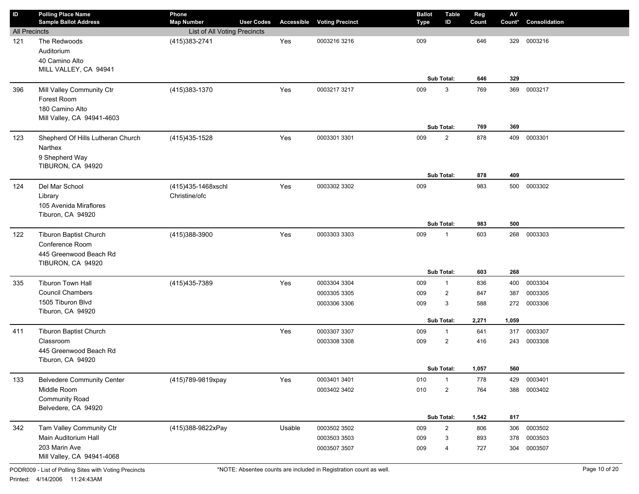| $\sf ID$             | <b>Polling Place Name</b>         | Phone                        |                   |        |                                   | <b>Ballot</b> | Table          | Reg   | $\mathsf{AV}$ |               |
|----------------------|-----------------------------------|------------------------------|-------------------|--------|-----------------------------------|---------------|----------------|-------|---------------|---------------|
|                      | <b>Sample Ballot Address</b>      | <b>Map Number</b>            | <b>User Codes</b> |        | <b>Accessible Voting Precinct</b> | <b>Type</b>   | ID             | Count | Count*        | Consolidation |
| <b>All Precincts</b> |                                   | List of All Voting Precincts |                   |        |                                   |               |                |       |               |               |
| 121                  | The Redwoods                      | (415) 383-2741               |                   | Yes    | 0003216 3216                      | 009           |                | 646   | 329           | 0003216       |
|                      | Auditorium<br>40 Camino Alto      |                              |                   |        |                                   |               |                |       |               |               |
|                      | MILL VALLEY, CA 94941             |                              |                   |        |                                   |               |                |       |               |               |
|                      |                                   |                              |                   |        |                                   |               | Sub Total:     | 646   | 329           |               |
| 396                  | Mill Valley Community Ctr         | (415) 383-1370               |                   | Yes    | 0003217 3217                      | 009           | 3              | 769   | 369           | 0003217       |
|                      | Forest Room                       |                              |                   |        |                                   |               |                |       |               |               |
|                      | 180 Camino Alto                   |                              |                   |        |                                   |               |                |       |               |               |
|                      | Mill Valley, CA 94941-4603        |                              |                   |        |                                   |               |                |       |               |               |
|                      |                                   |                              |                   |        |                                   |               | Sub Total:     | 769   | 369           |               |
| 123                  | Shepherd Of Hills Lutheran Church | (415) 435-1528               |                   | Yes    | 0003301 3301                      | 009           | $\overline{2}$ | 878   | 409           | 0003301       |
|                      | Narthex                           |                              |                   |        |                                   |               |                |       |               |               |
|                      | 9 Shepherd Way                    |                              |                   |        |                                   |               |                |       |               |               |
|                      | TIBURON, CA 94920                 |                              |                   |        |                                   |               |                |       |               |               |
|                      |                                   |                              |                   |        |                                   |               | Sub Total:     | 878   | 409           |               |
| 124                  | Del Mar School                    | (415)435-1468xschl           |                   | Yes    | 0003302 3302                      | 009           |                | 983   | 500           | 0003302       |
|                      | Library                           | Christine/ofc                |                   |        |                                   |               |                |       |               |               |
|                      | 105 Avenida Miraflores            |                              |                   |        |                                   |               |                |       |               |               |
|                      | Tiburon, CA 94920                 |                              |                   |        |                                   |               |                |       |               |               |
|                      |                                   |                              |                   |        |                                   |               | Sub Total:     | 983   | 500           |               |
| 122                  | <b>Tiburon Baptist Church</b>     | (415)388-3900                |                   | Yes    | 0003303 3303                      | 009           | $\mathbf{1}$   | 603   | 268           | 0003303       |
|                      | Conference Room                   |                              |                   |        |                                   |               |                |       |               |               |
|                      | 445 Greenwood Beach Rd            |                              |                   |        |                                   |               |                |       |               |               |
|                      | TIBURON, CA 94920                 |                              |                   |        |                                   |               | Sub Total:     | 603   | 268           |               |
| 335                  | <b>Tiburon Town Hall</b>          | (415) 435-7389               |                   | Yes    | 0003304 3304                      | 009           | 1              | 836   | 400           | 0003304       |
|                      | <b>Council Chambers</b>           |                              |                   |        | 0003305 3305                      | 009           | $\overline{2}$ | 847   | 387           | 0003305       |
|                      | 1505 Tiburon Blvd                 |                              |                   |        |                                   |               | 3              |       |               |               |
|                      | Tiburon, CA 94920                 |                              |                   |        | 0003306 3306                      | 009           |                | 588   | 272           | 0003306       |
|                      |                                   |                              |                   |        |                                   |               | Sub Total:     | 2,271 | 1,059         |               |
| 411                  | <b>Tiburon Baptist Church</b>     |                              |                   | Yes    | 0003307 3307                      | 009           | $\mathbf{1}$   | 641   | 317           | 0003307       |
|                      | Classroom                         |                              |                   |        | 0003308 3308                      | 009           | $\overline{2}$ | 416   | 243           | 0003308       |
|                      | 445 Greenwood Beach Rd            |                              |                   |        |                                   |               |                |       |               |               |
|                      | Tiburon, CA 94920                 |                              |                   |        |                                   |               |                |       |               |               |
|                      |                                   |                              |                   |        |                                   |               | Sub Total:     | 1,057 | 560           |               |
| 133                  | <b>Belvedere Community Center</b> | (415)789-9819xpay            |                   | Yes    | 0003401 3401                      | 010           | $\mathbf{1}$   | 778   | 429           | 0003401       |
|                      | Middle Room                       |                              |                   |        | 0003402 3402                      | 010           | $\overline{c}$ | 764   | 388           | 0003402       |
|                      | <b>Community Road</b>             |                              |                   |        |                                   |               |                |       |               |               |
|                      | Belvedere, CA 94920               |                              |                   |        |                                   |               |                |       |               |               |
|                      |                                   |                              |                   |        |                                   |               | Sub Total:     | 1,542 | 817           |               |
| 342                  | Tam Valley Community Ctr          | (415)388-9822xPay            |                   | Usable | 0003502 3502                      | 009           | $\overline{2}$ | 806   | 306           | 0003502       |
|                      | Main Auditorium Hall              |                              |                   |        | 0003503 3503                      | 009           | 3              | 893   | 378           | 0003503       |
|                      | 203 Marin Ave                     |                              |                   |        | 0003507 3507                      | 009           | 4              | 727   | 304           | 0003507       |
|                      | Mill Valley, CA 94941-4068        |                              |                   |        |                                   |               |                |       |               |               |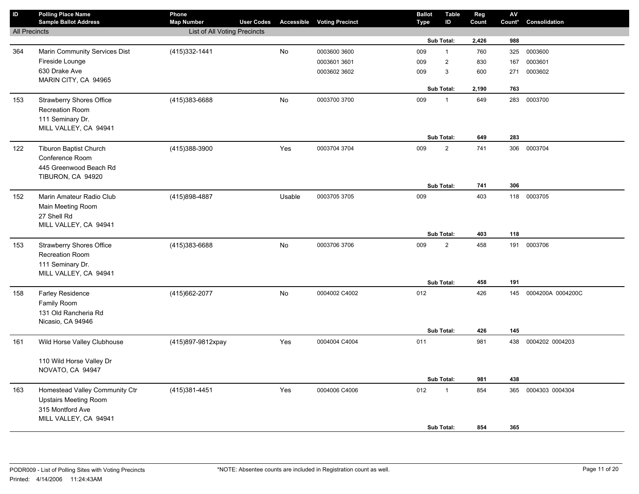| $\mathsf{ID}$        | <b>Polling Place Name</b><br><b>Sample Ballot Address</b> | Phone<br><b>Map Number</b>   | <b>User Codes</b> |        | <b>Accessible Voting Precinct</b> | <b>Ballot</b><br><b>Type</b> | <b>Table</b><br>ID | Reg<br>Count | AV<br>Count* | Consolidation     |
|----------------------|-----------------------------------------------------------|------------------------------|-------------------|--------|-----------------------------------|------------------------------|--------------------|--------------|--------------|-------------------|
| <b>All Precincts</b> |                                                           | List of All Voting Precincts |                   |        |                                   |                              |                    |              |              |                   |
|                      |                                                           |                              |                   |        |                                   |                              | Sub Total:         | 2,426        | 988          |                   |
| 364                  | Marin Community Services Dist                             | (415) 332-1441               |                   | No     | 0003600 3600                      | 009                          | $\mathbf{1}$       | 760          | 325          | 0003600           |
|                      | Fireside Lounge                                           |                              |                   |        | 0003601 3601                      | 009                          | $\boldsymbol{2}$   | 830          | 167          | 0003601           |
|                      | 630 Drake Ave                                             |                              |                   |        | 0003602 3602                      | 009                          | 3                  | 600          | 271          | 0003602           |
|                      | MARIN CITY, CA 94965                                      |                              |                   |        |                                   |                              |                    |              |              |                   |
|                      |                                                           |                              |                   |        |                                   |                              | Sub Total:         | 2,190        | 763          |                   |
| 153                  | <b>Strawberry Shores Office</b>                           | (415) 383-6688               |                   | No     | 0003700 3700                      | 009                          | $\mathbf{1}$       | 649          | 283          | 0003700           |
|                      | Recreation Room                                           |                              |                   |        |                                   |                              |                    |              |              |                   |
|                      | 111 Seminary Dr.                                          |                              |                   |        |                                   |                              |                    |              |              |                   |
|                      | MILL VALLEY, CA 94941                                     |                              |                   |        |                                   |                              | Sub Total:         | 649          | 283          |                   |
| 122                  | <b>Tiburon Baptist Church</b>                             | (415)388-3900                |                   | Yes    | 0003704 3704                      | 009                          | $\overline{2}$     | 741          | 306          | 0003704           |
|                      | Conference Room                                           |                              |                   |        |                                   |                              |                    |              |              |                   |
|                      | 445 Greenwood Beach Rd                                    |                              |                   |        |                                   |                              |                    |              |              |                   |
|                      | TIBURON, CA 94920                                         |                              |                   |        |                                   |                              |                    |              |              |                   |
|                      |                                                           |                              |                   |        |                                   |                              | Sub Total:         | 741          | 306          |                   |
| 152                  | Marin Amateur Radio Club                                  | (415)898-4887                |                   | Usable | 0003705 3705                      | 009                          |                    | 403          |              | 118 0003705       |
|                      | Main Meeting Room                                         |                              |                   |        |                                   |                              |                    |              |              |                   |
|                      | 27 Shell Rd                                               |                              |                   |        |                                   |                              |                    |              |              |                   |
|                      | MILL VALLEY, CA 94941                                     |                              |                   |        |                                   |                              |                    |              |              |                   |
|                      |                                                           |                              |                   |        |                                   |                              | Sub Total:         | 403          | 118          |                   |
| 153                  | <b>Strawberry Shores Office</b>                           | (415)383-6688                |                   | No     | 0003706 3706                      | 009                          | $\overline{c}$     | 458          | 191          | 0003706           |
|                      | <b>Recreation Room</b>                                    |                              |                   |        |                                   |                              |                    |              |              |                   |
|                      | 111 Seminary Dr.                                          |                              |                   |        |                                   |                              |                    |              |              |                   |
|                      | MILL VALLEY, CA 94941                                     |                              |                   |        |                                   |                              | Sub Total:         | 458          | 191          |                   |
|                      | Farley Residence                                          |                              |                   | No     | 0004002 C4002                     | 012                          |                    | 426          | 145          | 0004200A 0004200C |
| 158                  | Family Room                                               | (415) 662-2077               |                   |        |                                   |                              |                    |              |              |                   |
|                      | 131 Old Rancheria Rd                                      |                              |                   |        |                                   |                              |                    |              |              |                   |
|                      | Nicasio, CA 94946                                         |                              |                   |        |                                   |                              |                    |              |              |                   |
|                      |                                                           |                              |                   |        |                                   |                              | Sub Total:         | 426          | 145          |                   |
| 161                  | Wild Horse Valley Clubhouse                               | (415)897-9812xpay            |                   | Yes    | 0004004 C4004                     | 011                          |                    | 981          | 438          | 0004202 0004203   |
|                      |                                                           |                              |                   |        |                                   |                              |                    |              |              |                   |
|                      | 110 Wild Horse Valley Dr                                  |                              |                   |        |                                   |                              |                    |              |              |                   |
|                      | NOVATO, CA 94947                                          |                              |                   |        |                                   |                              |                    |              |              |                   |
|                      |                                                           |                              |                   |        |                                   |                              | Sub Total:         | 981          | 438          |                   |
| 163                  | Homestead Valley Community Ctr                            | (415) 381-4451               |                   | Yes    | 0004006 C4006                     | 012                          | $\mathbf{1}$       | 854          | 365          | 0004303 0004304   |
|                      | <b>Upstairs Meeting Room</b>                              |                              |                   |        |                                   |                              |                    |              |              |                   |
|                      | 315 Montford Ave                                          |                              |                   |        |                                   |                              |                    |              |              |                   |
|                      | MILL VALLEY, CA 94941                                     |                              |                   |        |                                   |                              | Sub Total:         | 854          | 365          |                   |
|                      |                                                           |                              |                   |        |                                   |                              |                    |              |              |                   |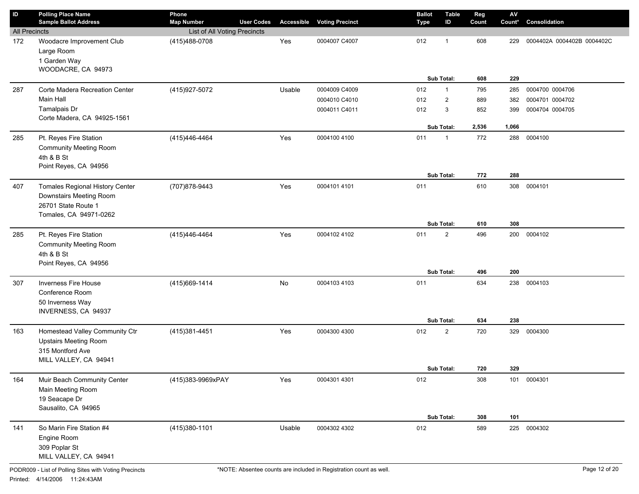| ID                          | <b>Polling Place Name</b><br><b>Sample Ballot Address</b>                                      | Phone                                         |                   |        |                                   | <b>Ballot</b> | <b>Table</b>                 | Reg        | $\mathsf{A}\mathsf{V}$ |                            |
|-----------------------------|------------------------------------------------------------------------------------------------|-----------------------------------------------|-------------------|--------|-----------------------------------|---------------|------------------------------|------------|------------------------|----------------------------|
|                             |                                                                                                | <b>Map Number</b>                             | <b>User Codes</b> |        | <b>Accessible Voting Precinct</b> | <b>Type</b>   | ID                           | Count      | Count*                 | Consolidation              |
| <b>All Precincts</b><br>172 | Woodacre Improvement Club<br>Large Room<br>1 Garden Way<br>WOODACRE, CA 94973                  | List of All Voting Precincts<br>(415)488-0708 |                   | Yes    | 0004007 C4007                     | 012           | $\mathbf 1$                  | 608        | 229                    | 0004402A 0004402B 0004402C |
|                             |                                                                                                |                                               |                   |        |                                   |               | Sub Total:                   | 608        | 229                    |                            |
| 287                         | Corte Madera Recreation Center                                                                 | (415) 927-5072                                |                   | Usable | 0004009 C4009                     | 012           | $\mathbf{1}$                 | 795        | 285                    | 0004700 0004706            |
|                             | Main Hall<br>Tamalpais Dr                                                                      |                                               |                   |        | 0004010 C4010                     | 012           | $\overline{2}$               | 889        | 382                    | 0004701 0004702            |
|                             | Corte Madera, CA 94925-1561                                                                    |                                               |                   |        | 0004011 C4011                     | 012           | 3                            | 852        | 399                    | 0004704 0004705            |
|                             |                                                                                                |                                               |                   |        |                                   |               | <b>Sub Total:</b>            | 2,536      | 1,066                  |                            |
| 285                         | Pt. Reyes Fire Station<br><b>Community Meeting Room</b><br>4th & B St<br>Point Reyes, CA 94956 | (415)446-4464                                 |                   | Yes    | 0004100 4100                      | 011           | $\overline{1}$<br>Sub Total: | 772<br>772 | 288<br>288             | 0004100                    |
|                             | <b>Tomales Regional History Center</b>                                                         | (707) 878-9443                                |                   | Yes    | 0004101 4101                      | 011           |                              | 610        | 308                    | 0004101                    |
| 407                         | Downstairs Meeting Room<br>26701 State Route 1<br>Tomales, CA 94971-0262                       |                                               |                   |        |                                   |               | Sub Total:                   | 610        | 308                    |                            |
| 285                         | Pt. Reyes Fire Station                                                                         | (415)446-4464                                 |                   | Yes    | 0004102 4102                      | 011           | $\overline{2}$               | 496        | 200                    | 0004102                    |
|                             | <b>Community Meeting Room</b><br>4th & B St<br>Point Reyes, CA 94956                           |                                               |                   |        |                                   |               |                              |            |                        |                            |
|                             |                                                                                                |                                               |                   |        |                                   |               | Sub Total:                   | 496        | 200                    |                            |
| 307                         | Inverness Fire House<br>Conference Room<br>50 Inverness Way<br>INVERNESS, CA 94937             | (415) 669-1414                                |                   | No     | 0004103 4103                      | 011           | <b>Sub Total:</b>            | 634<br>634 | 238<br>238             | 0004103                    |
| 163                         | Homestead Valley Community Ctr                                                                 | (415)381-4451                                 |                   | Yes    | 0004300 4300                      | 012           | $\overline{2}$               | 720        | 329                    | 0004300                    |
|                             | <b>Upstairs Meeting Room</b><br>315 Montford Ave<br>MILL VALLEY, CA 94941                      |                                               |                   |        |                                   |               |                              |            |                        |                            |
|                             |                                                                                                |                                               |                   |        |                                   |               | Sub Total:                   | 720        | 329                    |                            |
| 164                         | Muir Beach Community Center<br>Main Meeting Room<br>19 Seacape Dr<br>Sausalito, CA 94965       | (415)383-9969xPAY                             |                   | Yes    | 0004301 4301                      | 012           |                              | 308        |                        | 101 0004301                |
|                             |                                                                                                |                                               |                   |        |                                   |               | Sub Total:                   | 308        | 101                    |                            |
| 141                         | So Marin Fire Station #4<br>Engine Room<br>309 Poplar St<br>MILL VALLEY, CA 94941              | (415)380-1101                                 |                   | Usable | 0004302 4302                      | 012           |                              | 589        |                        | 225 0004302                |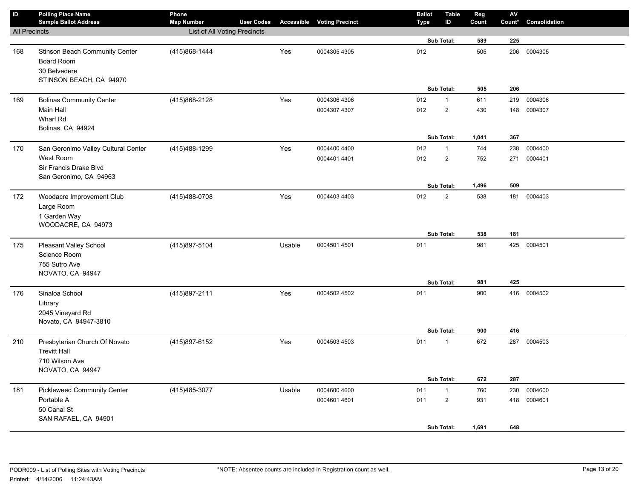| ID                   | <b>Polling Place Name</b><br><b>Sample Ballot Address</b>                                  | Phone<br><b>Map Number</b>   | <b>User Codes</b> |        | <b>Accessible Voting Precinct</b> | <b>Ballot</b><br>Type | <b>Table</b><br>ID           | Reg<br>Count | ${\sf AV}$<br>Count* | Consolidation |
|----------------------|--------------------------------------------------------------------------------------------|------------------------------|-------------------|--------|-----------------------------------|-----------------------|------------------------------|--------------|----------------------|---------------|
| <b>All Precincts</b> |                                                                                            | List of All Voting Precincts |                   |        |                                   |                       |                              |              |                      |               |
|                      |                                                                                            |                              |                   |        |                                   |                       | Sub Total:                   | 589          | 225                  |               |
| 168                  | Stinson Beach Community Center<br>Board Room<br>30 Belvedere                               | (415)868-1444                |                   | Yes    | 0004305 4305                      | 012                   |                              | 505          | 206                  | 0004305       |
|                      | STINSON BEACH, CA 94970                                                                    |                              |                   |        |                                   |                       |                              |              |                      |               |
|                      |                                                                                            |                              |                   |        |                                   |                       | Sub Total:                   | 505          | 206                  |               |
| 169                  | <b>Bolinas Community Center</b>                                                            | (415)868-2128                |                   | Yes    | 0004306 4306                      | 012                   | $\mathbf{1}$                 | 611          | 219                  | 0004306       |
|                      | Main Hall<br>Wharf Rd                                                                      |                              |                   |        | 0004307 4307                      | 012                   | $\overline{2}$               | 430          | 148                  | 0004307       |
|                      | Bolinas, CA 94924                                                                          |                              |                   |        |                                   |                       | Sub Total:                   | 1,041        | 367                  |               |
| 170                  | San Geronimo Valley Cultural Center                                                        | (415) 488-1299               |                   | Yes    | 0004400 4400                      | 012                   | $\mathbf{1}$                 | 744          | 238                  | 0004400       |
|                      | West Room                                                                                  |                              |                   |        | 0004401 4401                      | 012                   | $\overline{2}$               | 752          | 271                  | 0004401       |
|                      | Sir Francis Drake Blvd<br>San Geronimo, CA 94963                                           |                              |                   |        |                                   |                       |                              |              |                      |               |
|                      |                                                                                            |                              |                   |        |                                   |                       | Sub Total:                   | 1,496        | 509                  |               |
| 172                  | Woodacre Improvement Club<br>Large Room<br>1 Garden Way<br>WOODACRE, CA 94973              | (415)488-0708                |                   | Yes    | 0004403 4403                      | 012                   | $\overline{2}$               | 538          | 181                  | 0004403       |
|                      |                                                                                            |                              |                   |        |                                   |                       | Sub Total:                   | 538          | 181                  |               |
| 175                  | <b>Pleasant Valley School</b><br>Science Room<br>755 Sutro Ave<br>NOVATO, CA 94947         | (415)897-5104                |                   | Usable | 0004501 4501                      | 011                   |                              | 981          |                      | 425 0004501   |
|                      |                                                                                            |                              |                   |        |                                   |                       | Sub Total:                   | 981          | 425                  |               |
| 176                  | Sinaloa School<br>Library<br>2045 Vineyard Rd<br>Novato, CA 94947-3810                     | (415) 897-2111               |                   | Yes    | 0004502 4502                      | 011                   |                              | 900          | 416                  | 0004502       |
|                      |                                                                                            |                              |                   |        |                                   |                       | Sub Total:                   | 900          | 416                  |               |
| 210                  | Presbyterian Church Of Novato<br><b>Trevitt Hall</b><br>710 Wilson Ave<br>NOVATO, CA 94947 | (415) 897-6152               |                   | Yes    | 0004503 4503                      | 011                   | $\mathbf{1}$                 | 672          | 287                  | 0004503       |
|                      |                                                                                            |                              |                   |        |                                   |                       | Sub Total:                   | 672          | 287                  |               |
| 181                  | <b>Pickleweed Community Center</b>                                                         | (415) 485-3077               |                   | Usable | 0004600 4600                      | 011                   | $\mathbf{1}$                 | 760          | 230                  | 0004600       |
|                      | Portable A<br>50 Canal St<br>SAN RAFAEL, CA 94901                                          |                              |                   |        | 0004601 4601                      | 011                   | $\overline{2}$<br>Sub Total: | 931<br>1,691 | 418<br>648           | 0004601       |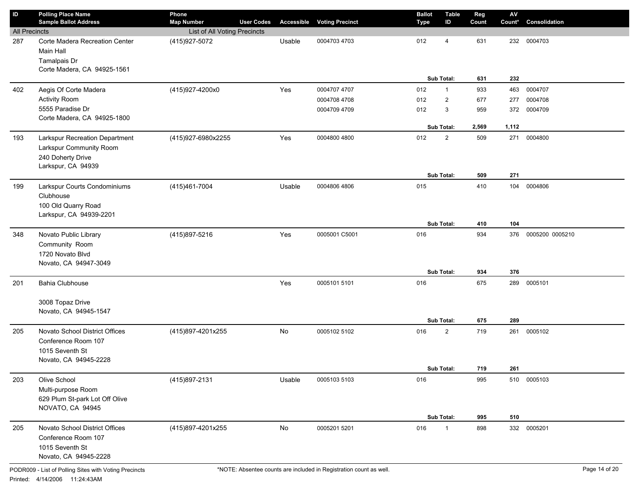| ID                   | <b>Polling Place Name</b><br><b>Sample Ballot Address</b>                                            | Phone<br><b>Map Number</b>   | <b>User Codes</b> | Accessible | <b>Voting Precinct</b> | Type | <b>Ballot</b> | <b>Table</b><br>ID | Reg<br>Count | ${\sf AV}$<br>Count* | Consolidation   |
|----------------------|------------------------------------------------------------------------------------------------------|------------------------------|-------------------|------------|------------------------|------|---------------|--------------------|--------------|----------------------|-----------------|
| <b>All Precincts</b> |                                                                                                      | List of All Voting Precincts |                   |            |                        |      |               |                    |              |                      |                 |
| 287                  | Corte Madera Recreation Center<br>Main Hall<br>Tamalpais Dr<br>Corte Madera, CA 94925-1561           | (415) 927-5072               |                   | Usable     | 0004703 4703           | 012  |               | 4<br>Sub Total:    | 631<br>631   | 232<br>232           | 0004703         |
|                      |                                                                                                      |                              |                   |            |                        |      |               |                    |              |                      |                 |
| 402                  | Aegis Of Corte Madera                                                                                | (415)927-4200x0              |                   | Yes        | 0004707 4707           | 012  |               | $\mathbf{1}$       | 933          | 463                  | 0004707         |
|                      | <b>Activity Room</b><br>5555 Paradise Dr                                                             |                              |                   |            | 0004708 4708           | 012  |               | $\overline{2}$     | 677          | 277                  | 0004708         |
|                      | Corte Madera, CA 94925-1800                                                                          |                              |                   |            | 0004709 4709           | 012  |               | 3                  | 959          | 372                  | 0004709         |
|                      |                                                                                                      |                              |                   |            |                        |      |               | Sub Total:         | 2,569        | 1,112                |                 |
| 193                  | Larkspur Recreation Department<br>Larkspur Community Room<br>240 Doherty Drive<br>Larkspur, CA 94939 | (415)927-6980x2255           |                   | Yes        | 0004800 4800           | 012  |               | $\overline{2}$     | 509          | 271                  | 0004800         |
|                      |                                                                                                      |                              |                   |            |                        |      |               | Sub Total:         | 509          | 271                  |                 |
| 199                  | Larkspur Courts Condominiums<br>Clubhouse<br>100 Old Quarry Road<br>Larkspur, CA 94939-2201          | (415)461-7004                |                   | Usable     | 0004806 4806           | 015  |               | Sub Total:         | 410<br>410   | 104<br>104           | 0004806         |
| 348                  | Novato Public Library                                                                                | (415)897-5216                |                   | Yes        | 0005001 C5001          | 016  |               |                    | 934          | 376                  | 0005200 0005210 |
|                      | Community Room<br>1720 Novato Blvd<br>Novato, CA 94947-3049                                          |                              |                   |            |                        |      |               |                    |              |                      |                 |
|                      |                                                                                                      |                              |                   |            |                        |      |               | Sub Total:         | 934          | 376                  |                 |
| 201                  | <b>Bahia Clubhouse</b><br>3008 Topaz Drive<br>Novato, CA 94945-1547                                  |                              |                   | Yes        | 0005101 5101           | 016  |               | Sub Total:         | 675<br>675   | 289<br>289           | 0005101         |
| 205                  | Novato School District Offices<br>Conference Room 107<br>1015 Seventh St<br>Novato, CA 94945-2228    | (415)897-4201x255            |                   | No         | 0005102 5102           | 016  |               | $\overline{2}$     | 719          | 261                  | 0005102         |
|                      |                                                                                                      |                              |                   |            |                        |      |               | Sub Total:         | 719          | 261                  |                 |
| 203                  | Olive School<br>Multi-purpose Room<br>629 Plum St-park Lot Off Olive<br>NOVATO, CA 94945             | (415)897-2131                |                   | Usable     | 0005103 5103           | 016  |               | Sub Total:         | 995<br>995   | 510                  | 510 0005103     |
| 205                  | Novato School District Offices<br>Conference Room 107<br>1015 Seventh St                             | (415)897-4201x255            |                   | No         | 0005201 5201           | 016  |               | $\mathbf{1}$       | 898          | 332                  | 0005201         |
|                      | Novato, CA 94945-2228                                                                                |                              |                   |            |                        |      |               |                    |              |                      |                 |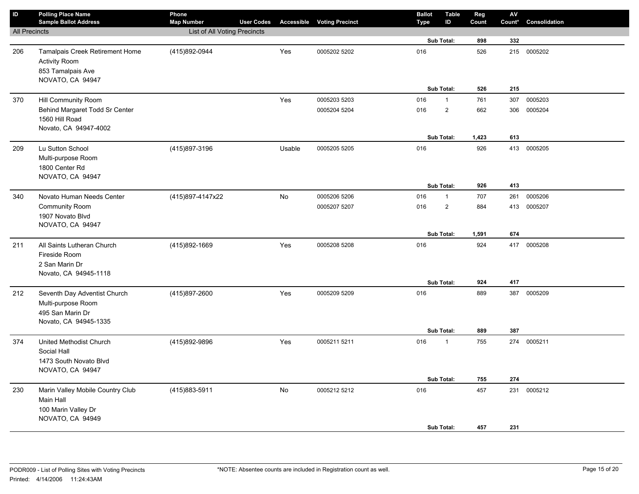| $\sf ID$             | <b>Polling Place Name</b><br><b>Sample Ballot Address</b>                           | Phone<br><b>Map Number</b>   | <b>User Codes</b> | Accessible | <b>Voting Precinct</b> | <b>Ballot</b><br>Type | <b>Table</b><br>ID | Reg<br>Count | ${\sf AV}$<br>Count* | Consolidation |
|----------------------|-------------------------------------------------------------------------------------|------------------------------|-------------------|------------|------------------------|-----------------------|--------------------|--------------|----------------------|---------------|
| <b>All Precincts</b> |                                                                                     | List of All Voting Precincts |                   |            |                        |                       |                    |              |                      |               |
|                      |                                                                                     |                              |                   |            |                        |                       | Sub Total:         | 898          | 332                  |               |
| 206                  | <b>Tamalpais Creek Retirement Home</b><br><b>Activity Room</b><br>853 Tamalpais Ave | (415)892-0944                |                   | Yes        | 0005202 5202           | 016                   |                    | 526          | 215                  | 0005202       |
|                      | NOVATO, CA 94947                                                                    |                              |                   |            |                        |                       |                    |              |                      |               |
|                      |                                                                                     |                              |                   |            |                        |                       | Sub Total:         | 526          | 215                  |               |
| 370                  | <b>Hill Community Room</b>                                                          |                              |                   | Yes        | 0005203 5203           | 016                   | $\mathbf{1}$       | 761          | 307                  | 0005203       |
|                      | Behind Margaret Todd Sr Center                                                      |                              |                   |            | 0005204 5204           | 016                   | $\overline{2}$     | 662          | 306                  | 0005204       |
|                      | 1560 Hill Road                                                                      |                              |                   |            |                        |                       |                    |              |                      |               |
|                      | Novato, CA 94947-4002                                                               |                              |                   |            |                        |                       |                    |              |                      |               |
|                      |                                                                                     |                              |                   |            |                        |                       | Sub Total:         | 1,423        | 613                  |               |
| 209                  | Lu Sutton School                                                                    | (415)897-3196                |                   | Usable     | 0005205 5205           | 016                   |                    | 926          | 413                  | 0005205       |
|                      | Multi-purpose Room                                                                  |                              |                   |            |                        |                       |                    |              |                      |               |
|                      | 1800 Center Rd                                                                      |                              |                   |            |                        |                       |                    |              |                      |               |
|                      | NOVATO, CA 94947                                                                    |                              |                   |            |                        |                       |                    |              |                      |               |
|                      |                                                                                     |                              |                   |            |                        |                       | Sub Total:         | 926          | 413                  |               |
| 340                  | Novato Human Needs Center                                                           | (415)897-4147x22             |                   | No         | 0005206 5206           | 016                   | $\mathbf{1}$       | 707          | 261                  | 0005206       |
|                      | <b>Community Room</b>                                                               |                              |                   |            | 0005207 5207           | 016                   | $\overline{2}$     | 884          |                      | 413 0005207   |
|                      | 1907 Novato Blvd                                                                    |                              |                   |            |                        |                       |                    |              |                      |               |
|                      | NOVATO, CA 94947                                                                    |                              |                   |            |                        |                       | Sub Total:         | 1,591        | 674                  |               |
| 211                  | All Saints Lutheran Church                                                          | (415)892-1669                |                   | Yes        | 0005208 5208           | 016                   |                    | 924          |                      | 417 0005208   |
|                      | Fireside Room                                                                       |                              |                   |            |                        |                       |                    |              |                      |               |
|                      | 2 San Marin Dr                                                                      |                              |                   |            |                        |                       |                    |              |                      |               |
|                      | Novato, CA 94945-1118                                                               |                              |                   |            |                        |                       |                    |              |                      |               |
|                      |                                                                                     |                              |                   |            |                        |                       | Sub Total:         | 924          | 417                  |               |
| 212                  | Seventh Day Adventist Church                                                        | (415)897-2600                |                   | Yes        | 0005209 5209           | 016                   |                    | 889          | 387                  | 0005209       |
|                      | Multi-purpose Room                                                                  |                              |                   |            |                        |                       |                    |              |                      |               |
|                      | 495 San Marin Dr                                                                    |                              |                   |            |                        |                       |                    |              |                      |               |
|                      | Novato, CA 94945-1335                                                               |                              |                   |            |                        |                       |                    |              |                      |               |
|                      |                                                                                     |                              |                   |            |                        |                       | Sub Total:         | 889          | 387                  |               |
| 374                  | United Methodist Church                                                             | (415)892-9896                |                   | Yes        | 0005211 5211           | 016                   | $\mathbf{1}$       | 755          |                      | 274 0005211   |
|                      | Social Hall                                                                         |                              |                   |            |                        |                       |                    |              |                      |               |
|                      | 1473 South Novato Blvd                                                              |                              |                   |            |                        |                       |                    |              |                      |               |
|                      | NOVATO, CA 94947                                                                    |                              |                   |            |                        |                       |                    |              |                      |               |
|                      |                                                                                     |                              |                   |            |                        |                       | Sub Total:         | 755          | 274                  |               |
| 230                  | Marin Valley Mobile Country Club                                                    | (415) 883-5911               |                   | No         | 0005212 5212           | 016                   |                    | 457          | 231                  | 0005212       |
|                      | Main Hall                                                                           |                              |                   |            |                        |                       |                    |              |                      |               |
|                      | 100 Marin Valley Dr<br>NOVATO, CA 94949                                             |                              |                   |            |                        |                       |                    |              |                      |               |
|                      |                                                                                     |                              |                   |            |                        |                       | Sub Total:         | 457          | 231                  |               |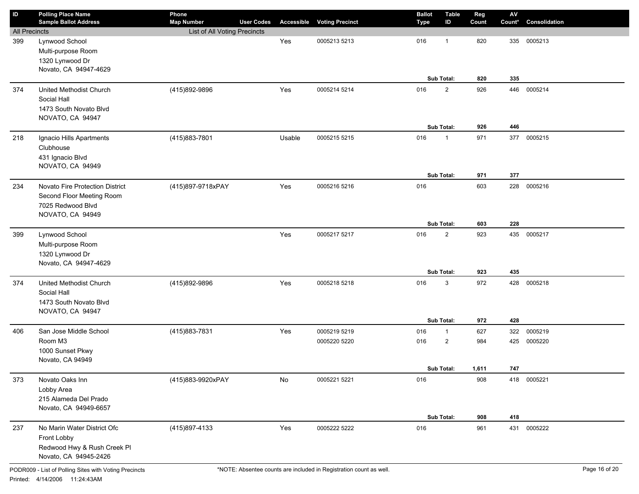| $\mathbf{ID}$        | <b>Polling Place Name</b><br><b>Sample Ballot Address</b>                                             | Phone<br><b>Map Number</b>   | <b>User Codes</b> | Accessible | <b>Voting Precinct</b>       | <b>Ballot</b><br><b>Type</b> | <b>Table</b><br>ID                           | Reg<br>Count        | $\mathbf{A}\mathbf{V}$<br>Count* | Consolidation      |
|----------------------|-------------------------------------------------------------------------------------------------------|------------------------------|-------------------|------------|------------------------------|------------------------------|----------------------------------------------|---------------------|----------------------------------|--------------------|
| <b>All Precincts</b> |                                                                                                       | List of All Voting Precincts |                   |            |                              |                              |                                              |                     |                                  |                    |
| 399                  | Lynwood School<br>Multi-purpose Room<br>1320 Lynwood Dr<br>Novato, CA 94947-4629                      |                              |                   | Yes        | 0005213 5213                 | 016                          | $\overline{1}$<br>Sub Total:                 | 820<br>820          | 335<br>335                       | 0005213            |
| 374                  | United Methodist Church<br>Social Hall<br>1473 South Novato Blvd<br>NOVATO, CA 94947                  | (415)892-9896                |                   | Yes        | 0005214 5214                 | 016                          | $\overline{2}$<br>Sub Total:                 | 926<br>926          | 446<br>446                       | 0005214            |
| 218                  | Ignacio Hills Apartments<br>Clubhouse<br>431 Ignacio Blvd<br>NOVATO, CA 94949                         | (415)883-7801                |                   | Usable     | 0005215 5215                 | 016                          | $\mathbf 1$<br>Sub Total:                    | 971<br>971          | 377<br>377                       | 0005215            |
| 234                  | Novato Fire Protection District<br>Second Floor Meeting Room<br>7025 Redwood Blvd<br>NOVATO, CA 94949 | (415)897-9718xPAY            |                   | Yes        | 0005216 5216                 | 016                          | Sub Total:                                   | 603<br>603          | 228<br>228                       | 0005216            |
| 399                  | Lynwood School<br>Multi-purpose Room<br>1320 Lynwood Dr<br>Novato, CA 94947-4629                      |                              |                   | Yes        | 0005217 5217                 | 016                          | $\overline{2}$<br>Sub Total:                 | 923<br>923          | 435<br>435                       | 0005217            |
| 374                  | United Methodist Church<br>Social Hall<br>1473 South Novato Blvd<br>NOVATO, CA 94947                  | (415)892-9896                |                   | Yes        | 0005218 5218                 | 016                          | $\mathbf{3}$<br>Sub Total:                   | 972<br>972          | 428<br>428                       | 0005218            |
| 406                  | San Jose Middle School<br>Room M3<br>1000 Sunset Pkwy<br>Novato, CA 94949                             | (415)883-7831                |                   | Yes        | 0005219 5219<br>0005220 5220 | 016<br>016                   | $\mathbf{1}$<br>$\overline{2}$<br>Sub Total: | 627<br>984<br>1,611 | 322<br>425<br>747                | 0005219<br>0005220 |
| 373                  | Novato Oaks Inn<br>Lobby Area<br>215 Alameda Del Prado<br>Novato, CA 94949-6657                       | (415)883-9920xPAY            |                   | No         | 0005221 5221                 | 016                          | Sub Total:                                   | 908<br>908          | 418                              | 418 0005221        |
| 237                  | No Marin Water District Ofc<br>Front Lobby<br>Redwood Hwy & Rush Creek Pl<br>Novato, CA 94945-2426    | (415) 897-4133               |                   | Yes        | 0005222 5222                 | 016                          |                                              | 961                 | 431                              | 0005222            |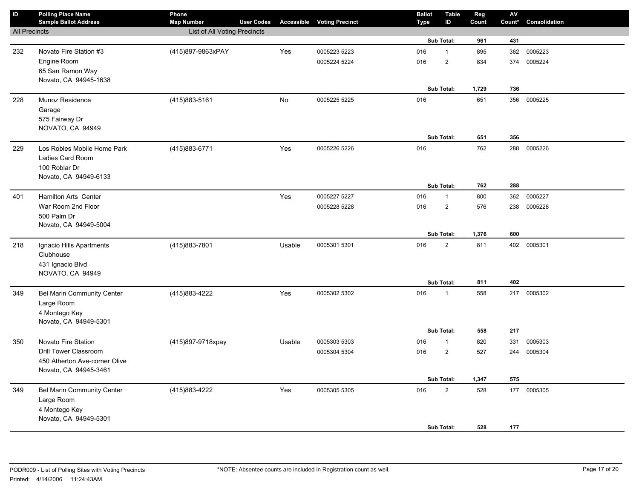| $\sf ID$             | <b>Polling Place Name</b><br><b>Sample Ballot Address</b> | Phone<br><b>Map Number</b>   | <b>User Codes</b> | <b>Accessible</b> | <b>Voting Precinct</b> | <b>Ballot</b><br><b>Type</b> | <b>Table</b><br>ID | Reg<br>Count | ${\sf AV}$<br>Count* | Consolidation |
|----------------------|-----------------------------------------------------------|------------------------------|-------------------|-------------------|------------------------|------------------------------|--------------------|--------------|----------------------|---------------|
| <b>All Precincts</b> |                                                           | List of All Voting Precincts |                   |                   |                        |                              |                    |              |                      |               |
|                      |                                                           |                              |                   |                   |                        |                              | Sub Total:         | 961          | 431                  |               |
| 232                  | Novato Fire Station #3                                    | (415)897-9863xPAY            |                   | Yes               | 0005223 5223           | 016                          | $\mathbf{1}$       | 895          | 362                  | 0005223       |
|                      | Engine Room                                               |                              |                   |                   | 0005224 5224           | 016                          | $\mathbf 2$        | 834          | 374                  | 0005224       |
|                      | 65 San Ramon Way                                          |                              |                   |                   |                        |                              |                    |              |                      |               |
|                      | Novato, CA 94945-1638                                     |                              |                   |                   |                        |                              |                    |              |                      |               |
|                      |                                                           |                              |                   |                   |                        |                              | Sub Total:         | 1,729        | 736                  |               |
| 228                  | Munoz Residence                                           | (415) 883-5161               |                   | No                | 0005225 5225           | 016                          |                    | 651          | 356                  | 0005225       |
|                      | Garage                                                    |                              |                   |                   |                        |                              |                    |              |                      |               |
|                      | 575 Fairway Dr                                            |                              |                   |                   |                        |                              |                    |              |                      |               |
|                      | NOVATO, CA 94949                                          |                              |                   |                   |                        |                              |                    |              |                      |               |
|                      |                                                           |                              |                   |                   |                        |                              | Sub Total:         | 651          | 356                  |               |
| 229                  | Los Robles Mobile Home Park                               | (415) 883-6771               |                   | Yes               | 0005226 5226           | 016                          |                    | 762          | 288                  | 0005226       |
|                      | Ladies Card Room                                          |                              |                   |                   |                        |                              |                    |              |                      |               |
|                      | 100 Roblar Dr                                             |                              |                   |                   |                        |                              |                    |              |                      |               |
|                      | Novato, CA 94949-6133                                     |                              |                   |                   |                        |                              | Sub Total:         | 762          | 288                  |               |
| 401                  | Hamilton Arts Center                                      |                              |                   | Yes               | 0005227 5227           | 016                          | $\mathbf{1}$       | 800          | 362                  | 0005227       |
|                      | War Room 2nd Floor                                        |                              |                   |                   | 0005228 5228           |                              | $\overline{2}$     | 576          | 238                  | 0005228       |
|                      | 500 Palm Dr                                               |                              |                   |                   |                        | 016                          |                    |              |                      |               |
|                      | Novato, CA 94949-5004                                     |                              |                   |                   |                        |                              |                    |              |                      |               |
|                      |                                                           |                              |                   |                   |                        |                              | Sub Total:         | 1,376        | 600                  |               |
| 218                  | Ignacio Hills Apartments                                  | (415)883-7801                |                   | Usable            | 0005301 5301           | 016                          | $\overline{2}$     | 811          |                      | 402 0005301   |
|                      | Clubhouse                                                 |                              |                   |                   |                        |                              |                    |              |                      |               |
|                      | 431 Ignacio Blvd                                          |                              |                   |                   |                        |                              |                    |              |                      |               |
|                      | NOVATO, CA 94949                                          |                              |                   |                   |                        |                              |                    |              |                      |               |
|                      |                                                           |                              |                   |                   |                        |                              | Sub Total:         | 811          | 402                  |               |
| 349                  | <b>Bel Marin Community Center</b>                         | (415) 883-4222               |                   | Yes               | 0005302 5302           | 016                          | $\mathbf{1}$       | 558          | 217                  | 0005302       |
|                      | Large Room                                                |                              |                   |                   |                        |                              |                    |              |                      |               |
|                      | 4 Montego Key                                             |                              |                   |                   |                        |                              |                    |              |                      |               |
|                      | Novato, CA 94949-5301                                     |                              |                   |                   |                        |                              |                    |              |                      |               |
|                      |                                                           |                              |                   |                   |                        |                              | Sub Total:         | 558          | 217                  |               |
| 350                  | Novato Fire Station                                       | (415)897-9718xpay            |                   | Usable            | 0005303 5303           | 016                          | $\mathbf{1}$       | 820          | 331                  | 0005303       |
|                      | <b>Drill Tower Classroom</b>                              |                              |                   |                   | 0005304 5304           | 016                          | $\mathbf 2$        | 527          | 244                  | 0005304       |
|                      | 450 Atherton Ave-corner Olive                             |                              |                   |                   |                        |                              |                    |              |                      |               |
|                      | Novato, CA 94945-3461                                     |                              |                   |                   |                        |                              |                    |              |                      |               |
|                      |                                                           |                              |                   |                   |                        |                              | Sub Total:         | 1,347        | 575                  |               |
| 349                  | <b>Bel Marin Community Center</b>                         | (415) 883-4222               |                   | Yes               | 0005305 5305           | 016                          | $\mathbf 2$        | 528          | 177                  | 0005305       |
|                      | Large Room                                                |                              |                   |                   |                        |                              |                    |              |                      |               |
|                      | 4 Montego Key                                             |                              |                   |                   |                        |                              |                    |              |                      |               |
|                      | Novato, CA 94949-5301                                     |                              |                   |                   |                        |                              |                    |              |                      |               |
|                      |                                                           |                              |                   |                   |                        |                              | Sub Total:         | 528          | 177                  |               |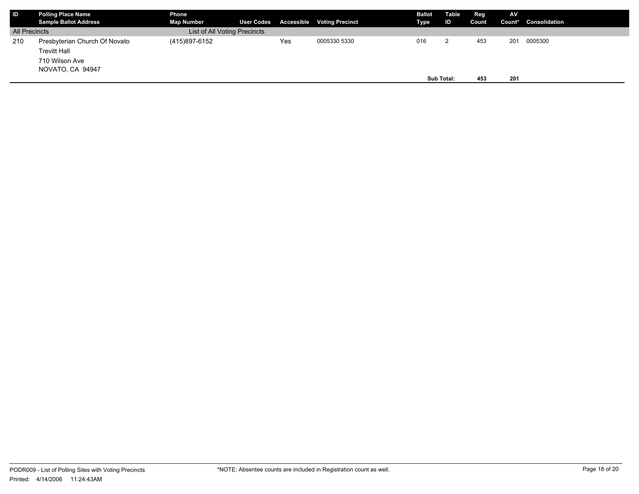| <b>IID</b>           | <b>Polling Place Name</b><br><b>Sample Ballot Address</b>                                  | Phone<br><b>Map Number</b>   |     | User Codes Accessible Voting Precinct | <b>Ballot</b><br>Type | Table<br>ID | Reg<br>Count | <b>AV</b>  | Count* Consolidation |
|----------------------|--------------------------------------------------------------------------------------------|------------------------------|-----|---------------------------------------|-----------------------|-------------|--------------|------------|----------------------|
| <b>All Precincts</b> |                                                                                            | List of All Voting Precincts |     |                                       |                       |             |              |            |                      |
| 210                  | Presbyterian Church Of Novato<br><b>Trevitt Hall</b><br>710 Wilson Ave<br>NOVATO, CA 94947 | (415)897-6152                | Yes | 0005330 5330                          | 016                   | Sub Total:  | 453<br>453   | 201<br>201 | 0005300              |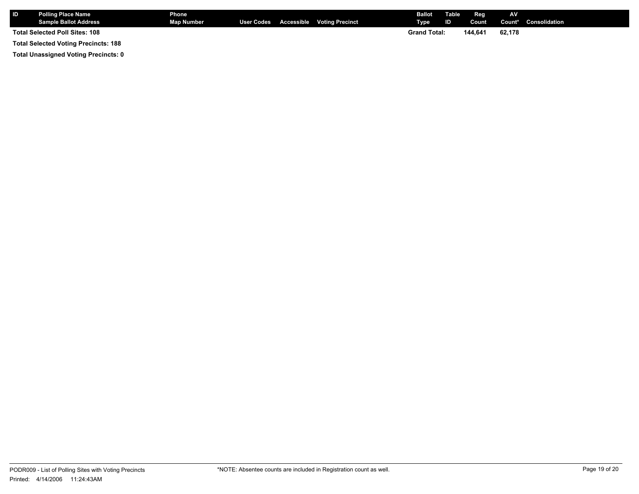| <b>ID</b> | <b>Polling Place Name</b><br><b>Sample Ballot Address</b> | Phone<br><b>Map Number</b> |  | User Codes Accessible Voting Precinct | <b>Ballot</b> Table<br>Type | <b>ID</b> | Reg<br>Count | <b>AV</b> | Count* Consolidation |
|-----------|-----------------------------------------------------------|----------------------------|--|---------------------------------------|-----------------------------|-----------|--------------|-----------|----------------------|
|           | Total Selected Poll Sites: 108                            |                            |  |                                       | <b>Grand Total:</b>         |           | 144.641      | 62.178    |                      |
|           | <b>Total Selected Voting Precincts: 188</b>               |                            |  |                                       |                             |           |              |           |                      |

**Total Unassigned Voting Precincts: 0**